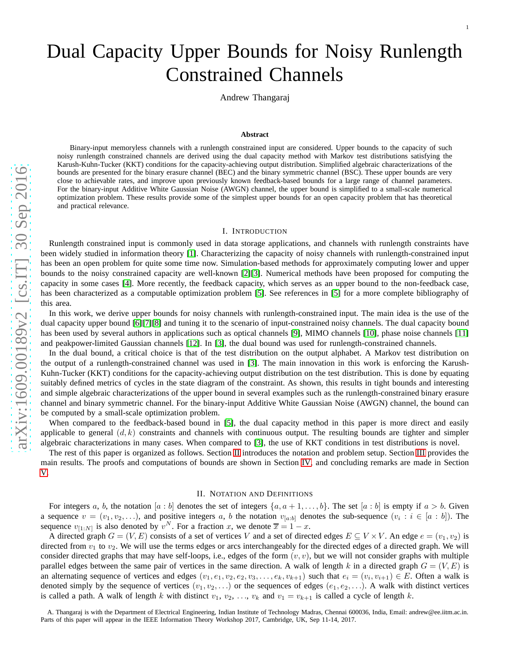# Dual Capacity Upper Bounds for Noisy Runlength Constrained Channels

Andrew Thangaraj

#### **Abstract**

Binary-input memoryless channels with a runlength constrained input are considered. Upper bounds to the capacity of such noisy runlength constrained channels are derived using the dual capacity method with Markov test distributions satisfying the Karush-Kuhn-Tucker (KKT) conditions for the capacity-achieving output distribution. Simplified algebraic characterizations of the bounds are presented for the binary erasure channel (BEC) and the binary symmetric channel (BSC). These upper bounds are very close to achievable rates, and improve upon previously known feedback-based bounds for a large range of channel parameters. For the binary-input Additive White Gaussian Noise (AWGN) channel, the upper bound is simplified to a small-scale numerical optimization problem. These results provide some of the simplest upper bounds for an open capacity problem that has theoretical and practical relevance.

#### I. INTRODUCTION

Runlength constrained input is commonly used in data storage applications, and channels with runlength constraints have been widely studied in information theory [\[1\]](#page-15-0). Characterizing the capacity of noisy channels with runlength-constrained input has been an open problem for quite some time now. Simulation-based methods for approximately computing lower and upper bounds to the noisy constrained capacity are well-known [\[2\]](#page-15-1)[\[3\]](#page-15-2). Numerical methods have been proposed for computing the capacity in some cases [\[4\]](#page-15-3). More recently, the feedback capacity, which serves as an upper bound to the non-feedback case , has been characterized as a computable optimization problem [\[5\]](#page-15-4). See references in [\[5\]](#page-15-4) for a more complete bibliography of this area.

In this work, we derive upper bounds for noisy channels with runlength-constrained input. The main idea is the use of the dual capacity upper bound [\[6\]](#page-15-5)[\[7\]](#page-15-6)[\[8\]](#page-15-7) and tuning it to the scenario of input-constrained noisy channels. The dual capacity bound has been used by several authors in applications such as optical channels [\[9\]](#page-15-8), MIMO channels [\[10\]](#page-15-9), phase noise channels [\[11\]](#page-15-10) and peakpower-limited Gaussian channels [\[12\]](#page-15-11). In [\[3\]](#page-15-2), the dual bound was used for runlength-constrained channels.

In the dual bound, a critical choice is that of the test distribution on the output alphabet. A Markov test distribution on the output of a runlength-constrained channel was used in [\[3\]](#page-15-2). The main innovation in this work is enforcing the Karush-Kuhn-Tucker (KKT) conditions for the capacity-achieving output distribution on the test distribution. This is done by equating suitably defined metrics of cycles in the state diagram of the constraint. As shown, this results in tight bounds and interesting and simple algebraic characterizations of the upper bound in several examples such as the runlength-constrained binary erasure channel and binary symmetric channel. For the binary-input Additive White Gaussian Noise (AWGN) channel, the bound can be computed by a small-scale optimization problem.

When compared to the feedback-based bound in [\[5\]](#page-15-4), the dual capacity method in this paper is more direct and easily applicable to general  $(d, k)$  constraints and channels with continuous output. The resulting bounds are tighter and simpler algebraic characterizations in many cases. When compared to [\[3\]](#page-15-2), the use of KKT conditions in test distributions is novel.

The rest of this paper is organized as follows. Section [II](#page-0-0) introduces the notation and problem setup. Section [III](#page-3-0) provides the main results. The proofs and computations of bounds are shown in Section [IV,](#page-8-0) and concluding remarks are made in Section [V.](#page-15-12)

## II. NOTATION AND DEFINITIONS

<span id="page-0-0"></span>For integers a, b, the notation  $[a:b]$  denotes the set of integers  $\{a, a+1, \ldots, b\}$ . The set  $[a:b]$  is empty if  $a > b$ . Given a sequence  $v = (v_1, v_2, \ldots)$ , and positive integers a, b the notation  $v_{[a:b]}$  denotes the sub-sequence  $(v_i : i \in [a:b])$ . The sequence  $v_{[1:N]}$  is also denoted by  $v^N$ . For a fraction x, we denote  $\overline{x} = 1 - x$ .

A directed graph  $G = (V, E)$  consists of a set of vertices V and a set of directed edges  $E \subseteq V \times V$ . An edge  $e = (v_1, v_2)$  is directed from  $v_1$  to  $v_2$ . We will use the terms edges or arcs interchangeably for the directed edges of a directed graph. We will consider directed graphs that may have self-loops, i.e., edges of the form  $(v, v)$ , but we will not consider graphs with multiple parallel edges between the same pair of vertices in the same direction. A walk of length k in a directed graph  $G = (V, E)$  is an alternating sequence of vertices and edges  $(v_1, e_1, v_2, e_2, v_3, \dots, e_k, v_{k+1})$  such that  $e_i = (v_i, v_{i+1}) \in E$ . Often a walk is denoted simply by the sequence of vertices  $(v_1, v_2, \ldots)$  or the sequences of edges  $(e_1, e_2, \ldots)$ . A walk with distinct vertices is called a path. A walk of length k with distinct  $v_1, v_2, ..., v_k$  and  $v_1 = v_{k+1}$  is called a cycle of length k.

A. Thangaraj is with the Department of Electrical Engineering, Indian Institute of Technology Madras, Chennai 600036, India, Email: andrew@ee.iitm.ac.in. Parts of this paper will appear in the IEEE Information Theory Workshop 2017, Cambridge, UK, Sep 11-14, 2017.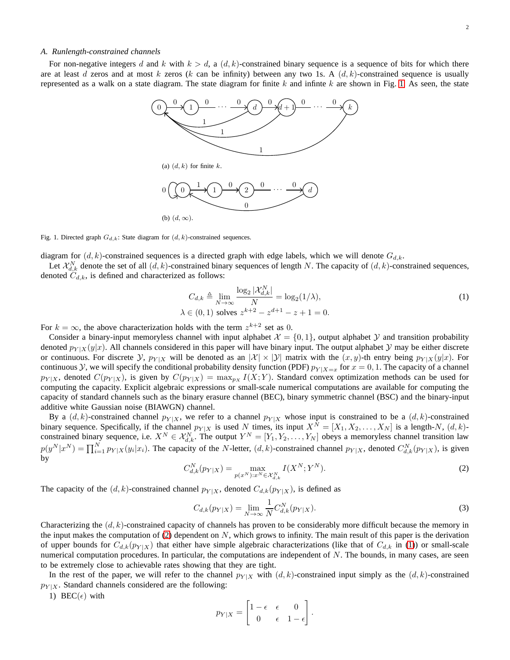#### *A. Runlength-constrained channels*

For non-negative integers d and k with  $k > d$ , a  $(d, k)$ -constrained binary sequence is a sequence of bits for which there are at least d zeros and at most k zeros (k can be infinity) between any two 1s. A  $(d, k)$ -constrained sequence is usually represented as a walk on a state diagram. The state diagram for finite  $k$  and infinite  $k$  are shown in Fig. [1.](#page-1-0) As seen, the state



<span id="page-1-0"></span>Fig. 1. Directed graph  $G_{d,k}$ : State diagram for  $(d, k)$ -constrained sequences.

diagram for  $(d, k)$ -constrained sequences is a directed graph with edge labels, which we will denote  $G_{d,k}$ .

Let  $\mathcal{X}_{d,k}^N$  denote the set of all  $(d, k)$ -constrained binary sequences of length N. The capacity of  $(d, k)$ -constrained sequences, denoted  $C_{d,k}$ , is defined and characterized as follows:

<span id="page-1-2"></span>
$$
C_{d,k} \triangleq \lim_{N \to \infty} \frac{\log_2 |\mathcal{X}_{d,k}^N|}{N} = \log_2(1/\lambda),
$$
  

$$
\lambda \in (0,1) \text{ solves } z^{k+2} - z^{d+1} - z + 1 = 0.
$$
 (1)

For  $k = \infty$ , the above characterization holds with the term  $z^{k+2}$  set as 0.

Consider a binary-input memoryless channel with input alphabet  $\mathcal{X} = \{0, 1\}$ , output alphabet  $\mathcal{Y}$  and transition probability denoted  $p_{Y|X}(y|x)$ . All channels considered in this paper will have binary input. The output alphabet  $Y$  may be either discrete or continuous. For discrete Y,  $p_{Y|X}$  will be denoted as an  $|X| \times |Y|$  matrix with the  $(x, y)$ -th entry being  $p_{Y|X}(y|x)$ . For continuous Y, we will specify the conditional probability density function (PDF)  $p_{Y|X=x}$  for  $x = 0, 1$ . The capacity of a channel  $p_{Y|X}$ , denoted  $C(p_{Y|X})$ , is given by  $C(p_{Y|X}) = \max_{p_X} I(X; Y)$ . Standard convex optimization methods can be used for computing the capacity. Explicit algebraic expressions or small-scale numerical computations are available for computing the capacity of standard channels such as the binary erasure channel (BEC), binary symmetric channel (BSC) and the binary-input additive white Gaussian noise (BIAWGN) channel.

By a  $(d, k)$ -constrained channel  $p_{Y|X}$ , we refer to a channel  $p_{Y|X}$  whose input is constrained to be a  $(d, k)$ -constrained binary sequence. Specifically, if the channel  $p_{Y|X}$  is used N times, its input  $X^N = [X_1, X_2, \ldots, X_N]$  is a length-N,  $(d, k)$ constrained binary sequence, i.e.  $X^N \in \mathcal{X}_{d,k}^N$ . The output  $Y^N = [Y_1, Y_2, \dots, Y_N]$  obeys a memoryless channel transition law  $p(y^N | x^N) = \prod_{i=1}^N p_{Y|X}(y_i | x_i)$ . The capacity of the *N*-letter,  $(d, k)$ -constrained channel  $p_{Y|X}$ , denoted  $C_{d,k}^N(p_{Y|X})$ , is given by

<span id="page-1-1"></span>
$$
C_{d,k}^{N}(p_{Y|X}) = \max_{p(x^{N}): x^{N} \in \mathcal{X}_{d,k}^{N}} I(X^{N}; Y^{N}).
$$
\n(2)

The capacity of the  $(d, k)$ -constrained channel  $p_{Y|X}$ , denoted  $C_{d,k}(p_{Y|X})$ , is defined as

$$
C_{d,k}(p_{Y|X}) = \lim_{N \to \infty} \frac{1}{N} C_{d,k}^{N}(p_{Y|X}).
$$
\n(3)

Characterizing the  $(d, k)$ -constrained capacity of channels has proven to be considerably more difficult because the memory in the input makes the computation of [\(2\)](#page-1-1) dependent on  $N$ , which grows to infinity. The main result of this paper is the derivation of upper bounds for  $C_{d,k}(p_{Y|X})$  that either have simple algebraic characterizations (like that of  $C_{d,k}$  in [\(1\)](#page-1-2)) or small-scale numerical computation procedures. In particular, the computations are independent of  $N$ . The bounds, in many cases, are seen to be extremely close to achievable rates showing that they are tight.

In the rest of the paper, we will refer to the channel  $p_{Y|X}$  with  $(d, k)$ -constrained input simply as the  $(d, k)$ -constrained  $p_{Y|X}$ . Standard channels considered are the following:

1) BEC( $\epsilon$ ) with

$$
p_{Y|X} = \begin{bmatrix} 1 - \epsilon & \epsilon & 0 \\ 0 & \epsilon & 1 - \epsilon \end{bmatrix}.
$$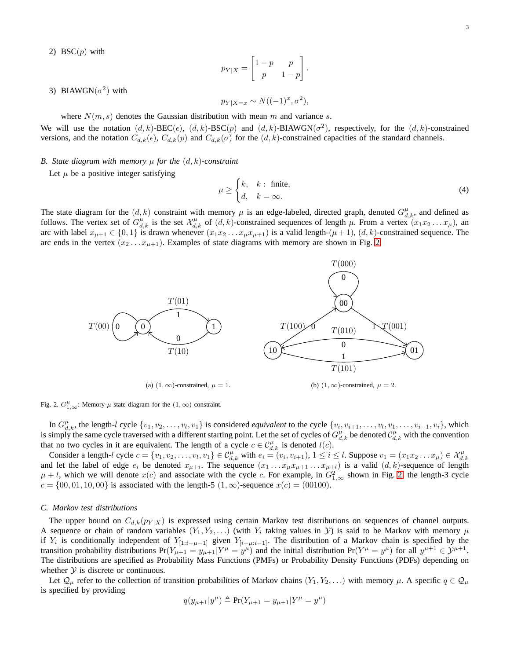2) BSC $(p)$  with

$$
p_{Y|X} = \begin{bmatrix} 1-p & p \\ p & 1-p \end{bmatrix}.
$$

3) BIAWGN $(\sigma^2)$  with

$$
p_{Y|X=x} \sim N((-1)^x, \sigma^2),
$$

where  $N(m, s)$  denotes the Gaussian distribution with mean m and variance s.

 $\overline{v}$ 

We will use the notation  $(d, k)$ -BEC $(\epsilon)$ ,  $(d, k)$ -BSC $(p)$  and  $(d, k)$ -BIAWGN $(\sigma^2)$ , respectively, for the  $(d, k)$ -constrained versions, and the notation  $C_{d,k}(\epsilon)$ ,  $C_{d,k}(p)$  and  $C_{d,k}(\sigma)$  for the  $(d, k)$ -constrained capacities of the standard channels.

## *B. State diagram with memory*  $\mu$  *for the*  $(d, k)$ *-constraint*

Let  $\mu$  be a positive integer satisfying

$$
u \ge \begin{cases} k, & k : \text{ finite,} \\ d, & k = \infty. \end{cases} \tag{4}
$$

The state diagram for the  $(d, k)$  constraint with memory  $\mu$  is an edge-labeled, directed graph, denoted  $G_{d,k}^{\mu}$ , and defined as follows. The vertex set of  $G_{d,k}^{\mu}$  is the set  $\mathcal{X}_{d,k}^{\mu}$  of  $(d,k)$ -constrained sequences of length  $\mu$ . From a vertex  $(x_1x_2...x_{\mu})$ , an arc with label  $x_{\mu+1} \in \{0,1\}$  is drawn whenever  $(x_1x_2 \ldots x_{\mu}x_{\mu+1})$  is a valid length- $(\mu+1)$ ,  $(d, k)$ -constrained sequence. The arc ends in the vertex  $(x_2 \ldots x_{\mu+1})$ . Examples of state diagrams with memory are shown in Fig. [2.](#page-2-0)



<span id="page-2-0"></span>Fig. 2.  $G_{1,\infty}^{\mu}$ : Memory- $\mu$  state diagram for the  $(1,\infty)$  constraint.

In  $G_{d,k}^{\mu}$ , the length-l cycle  $\{v_1, v_2, \ldots, v_l, v_1\}$  is considered *equivalent* to the cycle  $\{v_i, v_{i+1}, \ldots, v_l, v_1, \ldots, v_{i-1}, v_i\}$ , which is simply the same cycle traversed with a different starting point. Let the set of cycles of  $G_{d,k}^{\mu}$  be denoted  $C_{d,k}^{\mu}$  with the convention that no two cycles in it are equivalent. The length of a cycle  $c \in C_{d,k}^{\mu}$  is denoted  $l(c)$ .

Consider a length-l cycle  $c = \{v_1, v_2, \dots, v_l, v_1\} \in C_{d,k}^{\mu}$  with  $e_i = (v_i, v_{i+1}), 1 \le i \le l$ . Suppose  $v_1 = (x_1 x_2 \dots x_{\mu}) \in \mathcal{X}_{d,k}^{\mu}$ <br>and let the label of edge  $e_i$  be denoted  $x_{\mu+i}$ . The sequence  $(x_1 \dots x_{\mu} x_{\mu+1} \$  $\mu + l$ , which we will denote  $x(c)$  and associate with the cycle c. For example, in  $G_{1,\infty}^2$  shown in Fig. [2,](#page-2-0) the length-3 cycle  $c = \{00, 01, 10, 00\}$  is associated with the length-5  $(1, \infty)$ -sequence  $x(c) = (00100)$ .

## *C. Markov test distributions*

The upper bound on  $C_{d,k}(p_{Y|X})$  is expressed using certain Markov test distributions on sequences of channel outputs. A sequence or chain of random variables  $(Y_1, Y_2, \ldots)$  (with  $Y_i$  taking values in  $Y_i$ ) is said to be Markov with memory  $\mu$ if  $Y_i$  is conditionally independent of  $Y_{[1:i-\mu-1]}$  given  $Y_{[i-\mu:i-1]}$ . The distribution of a Markov chain is specified by the transition probability distributions  $Pr(Y_{\mu+1} = y_{\mu+1} | Y^{\mu} = y^{\mu})$  and the initial distribution  $Pr(Y^{\mu} = y^{\mu})$  for all  $y^{\mu+1} \in \mathcal{Y}^{\mu+1}$ . The distributions are specified as Probability Mass Functions (PMFs) or Probability Density Functions (PDFs) depending on whether  $Y$  is discrete or continuous.

Let  $\mathcal{Q}_{\mu}$  refer to the collection of transition probabilities of Markov chains  $(Y_1, Y_2, \dots)$  with memory  $\mu$ . A specific  $q \in \mathcal{Q}_{\mu}$ is specified by providing

$$
q(y_{\mu+1}|y^{\mu}) \triangleq \Pr(Y_{\mu+1} = y_{\mu+1}|Y^{\mu} = y^{\mu})
$$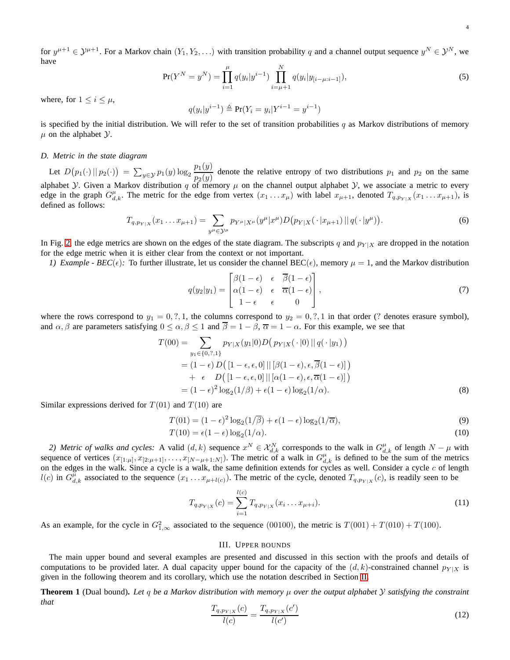for  $y^{\mu+1} \in \mathcal{Y}^{\mu+1}$ . For a Markov chain  $(Y_1, Y_2, \ldots)$  with transition probability q and a channel output sequence  $y^N \in \mathcal{Y}^N$ , we have

$$
\Pr(Y^N = y^N) = \prod_{i=1}^{\mu} q(y_i | y^{i-1}) \prod_{i=\mu+1}^N q(y_i | y_{[i-\mu:i-1]}),
$$
\n(5)

where, for  $1 \leq i \leq \mu$ ,

$$
q(y_i|y^{i-1}) \triangleq Pr(Y_i = y_i|Y^{i-1} = y^{i-1})
$$

is specified by the initial distribution. We will refer to the set of transition probabilities q as Markov distributions of memory  $\mu$  on the alphabet  $\mathcal{Y}$ .

## *D. Metric in the state diagram*

Let  $D(p_1(\cdot) || p_2(\cdot)) = \sum_{y \in \mathcal{Y}} p_1(y) \log_2 \frac{p_1(y)}{p_2(y)}$  $\frac{p_1(y)}{p_2(y)}$  denote the relative entropy of two distributions  $p_1$  and  $p_2$  on the same alphabet *Y*. Given a Markov distribution q of memory  $\mu$  on the channel output alphabet *Y*, we associate a metric to every edge in the graph  $G_{d,k}^{\mu}$ . The metric for the edge from vertex  $(x_1 \ldots x_{\mu})$  with label  $x_{\mu+1}$ , denoted  $T_{q,p_{Y|X}}(x_1 \ldots x_{\mu+1})$ , is defined as follows:

$$
T_{q,p_{Y|X}}(x_1 \ldots x_{\mu+1}) = \sum_{y^{\mu} \in \mathcal{Y}^{\mu}} p_{Y^{\mu}|X^{\mu}}(y^{\mu}|x^{\mu}) D(p_{Y|X}(\cdot|x_{\mu+1}) || q(\cdot|y^{\mu})). \tag{6}
$$

In Fig. [2,](#page-2-0) the edge metrics are shown on the edges of the state diagram. The subscripts q and  $p_{Y|X}$  are dropped in the notation for the edge metric when it is either clear from the context or not important.

*1) Example - BEC*( $\epsilon$ ): To further illustrate, let us consider the channel BEC( $\epsilon$ ), memory  $\mu = 1$ , and the Markov distribution

<span id="page-3-3"></span><span id="page-3-2"></span>
$$
q(y_2|y_1) = \begin{bmatrix} \beta(1-\epsilon) & \epsilon & \overline{\beta}(1-\epsilon) \\ \alpha(1-\epsilon) & \epsilon & \overline{\alpha}(1-\epsilon) \\ 1-\epsilon & \epsilon & 0 \end{bmatrix}, \tag{7}
$$

where the rows correspond to  $y_1 = 0, ?, 1$ , the columns correspond to  $y_2 = 0, ?, 1$  in that order (? denotes erasure symbol), and  $\alpha, \beta$  are parameters satisfying  $0 \leq \alpha, \beta \leq 1$  and  $\overline{\beta} = 1 - \beta, \overline{\alpha} = 1 - \alpha$ . For this example, we see that

$$
T(00) = \sum_{y_1 \in \{0, ?, 1\}} p_{Y|X}(y_1|0) D(p_{Y|X}(\cdot|0) || q(\cdot|y_1))
$$
  
=  $(1 - \epsilon) D([1 - \epsilon, \epsilon, 0] || [\beta(1 - \epsilon), \epsilon, \overline{\beta}(1 - \epsilon)])$   
+  $\epsilon$  D $([1 - \epsilon, \epsilon, 0] || [\alpha(1 - \epsilon), \epsilon, \overline{\alpha}(1 - \epsilon)])$   
=  $(1 - \epsilon)^2 \log_2(1/\beta) + \epsilon(1 - \epsilon) \log_2(1/\alpha).$  (8)

Similar expressions derived for  $T(01)$  and  $T(10)$  are

$$
T(01) = (1 - \epsilon)^2 \log_2\left(\frac{1}{\beta}\right) + \epsilon(1 - \epsilon) \log_2\left(\frac{1}{\alpha}\right),\tag{9}
$$

$$
T(10) = \epsilon(1 - \epsilon) \log_2(1/\alpha). \tag{10}
$$

2) Metric of walks and cycles: A valid  $(d, k)$  sequence  $x^N \in \mathcal{X}_{d,k}^N$  corresponds to the walk in  $G_{d,k}^{\mu}$  of length  $N - \mu$  with sequence of vertices  $(x_{[1:\mu]}, x_{[2:\mu+1]}, \ldots, x_{[N-\mu+1:N]})$ . The metric of a walk in  $G_{d,k}^{\mu}$  is defined to be the sum of the metrics on the edges in the walk. Since a cycle is a walk, the same definition extends for cycles as well. Consider a cycle  $c$  of length  $l(c)$  in  $G_{d,k}^{\mu}$  associated to the sequence  $(x_1 \ldots x_{\mu+l(c)})$ . The metric of the cycle, denoted  $T_{q,p_{Y|X}}(c)$ , is readily seen to be

$$
T_{q,p_{Y|X}}(c) = \sum_{i=1}^{l(c)} T_{q,p_{Y|X}}(x_i \dots x_{\mu+i}).
$$
\n(11)

<span id="page-3-0"></span>As an example, for the cycle in  $G_{1,\infty}^2$  associated to the sequence (00100), the metric is  $T(001) + T(010) + T(100)$ .

#### <span id="page-3-6"></span><span id="page-3-5"></span><span id="page-3-4"></span>III. UPPER BOUNDS

The main upper bound and several examples are presented and discussed in this section with the proofs and details of computations to be provided later. A dual capacity upper bound for the capacity of the  $(d, k)$ -constrained channel  $p_{Y|X}$  is given in the following theorem and its corollary, which use the notation described in Section [II.](#page-0-0)

**Theorem 1** (Dual bound)**.** *Let* q *be a Markov distribution with memory* µ *over the output alphabet* Y *satisfying the constraint that*

<span id="page-3-1"></span>
$$
\frac{T_{q,p_{Y|X}}(c)}{l(c)} = \frac{T_{q,p_{Y|X}}(c')}{l(c')}
$$
\n(12)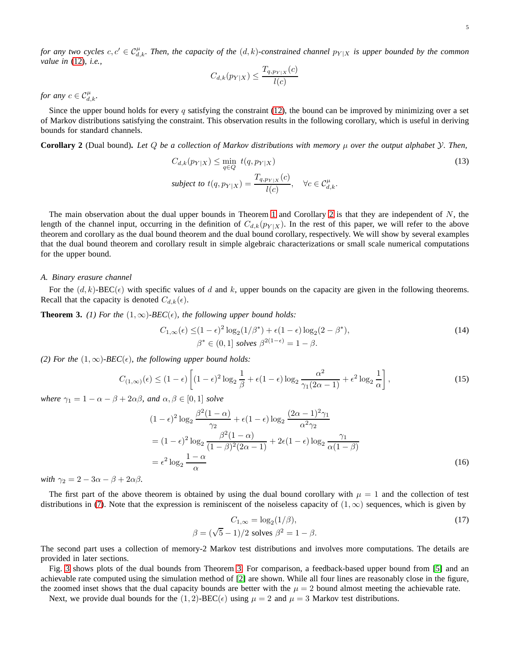*for any two cycles*  $c, c' \in C_{d,k}^{\mu}$ . Then, the capacity of the  $(d, k)$ -constrained channel  $p_{Y|X}$  is upper bounded by the common *value in* [\(12\)](#page-3-1)*, i.e.,*

<span id="page-4-0"></span>
$$
C_{d,k}(p_{Y|X}) \le \frac{T_{q,p_{Y|X}}(c)}{l(c)}
$$

*for any*  $c \in C_{d,k}^{\mu}$ .

Since the upper bound holds for every q satisfying the constraint  $(12)$ , the bound can be improved by minimizing over a set of Markov distributions satisfying the constraint. This observation results in the following corollary, which is useful in deriving bounds for standard channels.

**Corollary 2** (Dual bound)**.** *Let* Q *be a collection of Markov distributions with memory* µ *over the output alphabet* Y*. Then,*

$$
C_{d,k}(p_{Y|X}) \le \min_{q \in Q} t(q, p_{Y|X})
$$
  
subject to  $t(q, p_{Y|X}) = \frac{T_{q, p_{Y|X}}(c)}{l(c)}, \quad \forall c \in C_{d,k}^{\mu}.$  (13)

The main observation about the dual upper bounds in Theorem [1](#page-3-1) and Corollary [2](#page-4-0) is that they are independent of  $N$ , the length of the channel input, occurring in the definition of  $C_{d,k}(p_{Y|X})$ . In the rest of this paper, we will refer to the above theorem and corollary as the dual bound theorem and the dual bound corollary, respectively. We will show by several examples that the dual bound theorem and corollary result in simple algebraic characterizations or small scale numerical computations for the upper bound.

#### *A. Binary erasure channel*

For the  $(d, k)$ -BEC( $\epsilon$ ) with specific values of d and k, upper bounds on the capacity are given in the following theorems. Recall that the capacity is denoted  $C_{d,k}(\epsilon)$ .

**Theorem 3.** (1) For the  $(1,\infty)$ -BEC( $\epsilon$ ), the following upper bound holds:

$$
C_{1,\infty}(\epsilon) \le (1-\epsilon)^2 \log_2(1/\beta^*) + \epsilon (1-\epsilon) \log_2(2-\beta^*),
$$
  
\n
$$
\beta^* \in (0,1] \text{ solves } \beta^{2(1-\epsilon)} = 1-\beta.
$$
\n(14)

*(2) For the*  $(1, \infty)$ *-BEC*( $\epsilon$ )*, the following upper bound holds:* 

$$
C_{(1,\infty)}(\epsilon) \le (1-\epsilon) \left[ (1-\epsilon)^2 \log_2 \frac{1}{\beta} + \epsilon (1-\epsilon) \log_2 \frac{\alpha^2}{\gamma_1 (2\alpha - 1)} + \epsilon^2 \log_2 \frac{1}{\alpha} \right],\tag{15}
$$

*where*  $\gamma_1 = 1 - \alpha - \beta + 2\alpha\beta$ *, and*  $\alpha, \beta \in [0, 1]$  *solve* 

$$
(1 - \epsilon)^2 \log_2 \frac{\beta^2 (1 - \alpha)}{\gamma_2} + \epsilon (1 - \epsilon) \log_2 \frac{(2\alpha - 1)^2 \gamma_1}{\alpha^2 \gamma_2}
$$
  
=  $(1 - \epsilon)^2 \log_2 \frac{\beta^2 (1 - \alpha)}{(1 - \beta)^2 (2\alpha - 1)} + 2\epsilon (1 - \epsilon) \log_2 \frac{\gamma_1}{\alpha (1 - \beta)}$   
=  $\epsilon^2 \log_2 \frac{1 - \alpha}{\alpha}$  (16)

*with*  $\gamma_2 = 2 - 3\alpha - \beta + 2\alpha\beta$ *.* 

The first part of the above theorem is obtained by using the dual bound corollary with  $\mu = 1$  and the collection of test distributions in [\(7\)](#page-3-2). Note that the expression is reminiscent of the noiseless capacity of  $(1, \infty)$  sequences, which is given by

<span id="page-4-1"></span>
$$
C_{1,\infty} = \log_2(1/\beta),
$$
  
\n
$$
\beta = (\sqrt{5} - 1)/2 \text{ solves } \beta^2 = 1 - \beta.
$$
\n(17)

The second part uses a collection of memory-2 Markov test distributions and involves more computations. The details are provided in later sections.

Fig. [3](#page-5-0) shows plots of the dual bounds from Theorem [3.](#page-4-1) For comparison, a feedback-based upper bound from [\[5\]](#page-15-4) and an achievable rate computed using the simulation method of [\[2\]](#page-15-1) are shown. While all four lines are reasonably close in the figure, the zoomed inset shows that the dual capacity bounds are better with the  $\mu = 2$  bound almost meeting the achievable rate.

Next, we provide dual bounds for the  $(1, 2)$ -BEC( $\epsilon$ ) using  $\mu = 2$  and  $\mu = 3$  Markov test distributions.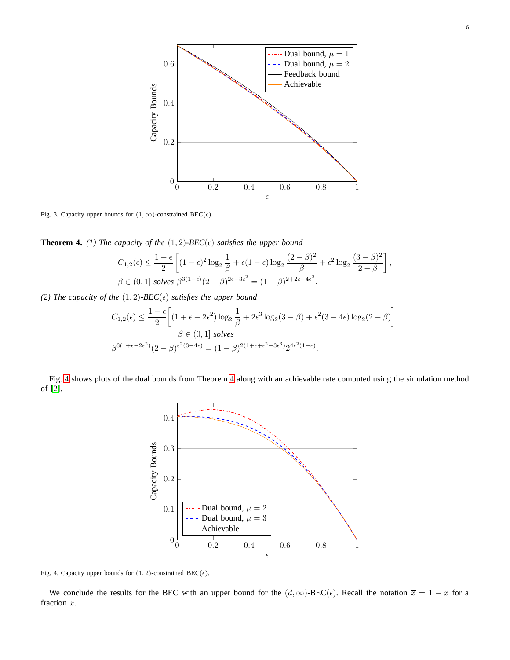

<span id="page-5-0"></span>Fig. 3. Capacity upper bounds for  $(1, \infty)$ -constrained BEC( $\epsilon$ ).

<span id="page-5-2"></span>**Theorem 4.** *(1) The capacity of the*  $(1, 2)$ *-BEC*( $\epsilon$ ) *satisfies the upper bound* 

$$
C_{1,2}(\epsilon) \le \frac{1-\epsilon}{2} \left[ (1-\epsilon)^2 \log_2 \frac{1}{\beta} + \epsilon (1-\epsilon) \log_2 \frac{(2-\beta)^2}{\beta} + \epsilon^2 \log_2 \frac{(3-\beta)^2}{2-\beta} \right],
$$
  

$$
\beta \in (0,1]
$$
 solves  $\beta^{3(1-\epsilon)}(2-\beta)^{2\epsilon-3\epsilon^2} = (1-\beta)^{2+2\epsilon-4\epsilon^2}.$ 

*(2) The capacity of the*  $(1, 2)$ *-BEC*( $\epsilon$ ) *satisfies the upper bound* 

$$
C_{1,2}(\epsilon) \le \frac{1-\epsilon}{2} \bigg[ (1+\epsilon-2\epsilon^2) \log_2 \frac{1}{\beta} + 2\epsilon^3 \log_2(3-\beta) + \epsilon^2 (3-4\epsilon) \log_2(2-\beta) \bigg],
$$
  

$$
\beta \in (0,1] \text{ solves}
$$
  

$$
\beta^{3(1+\epsilon-2\epsilon^2)} (2-\beta)^{\epsilon^2(3-4\epsilon)} = (1-\beta)^{2(1+\epsilon+\epsilon^2-3\epsilon^3)} 2^{4\epsilon^2(1-\epsilon)}.
$$

Fig. [4](#page-5-1) shows plots of the dual bounds from Theorem [4](#page-5-2) along with an achievable rate computed using the simulation method of [\[2\]](#page-15-1).



<span id="page-5-1"></span>Fig. 4. Capacity upper bounds for  $(1, 2)$ -constrained BEC( $\epsilon$ ).

We conclude the results for the BEC with an upper bound for the  $(d, \infty)$ -BEC( $\epsilon$ ). Recall the notation  $\overline{x} = 1 - x$  for a fraction x.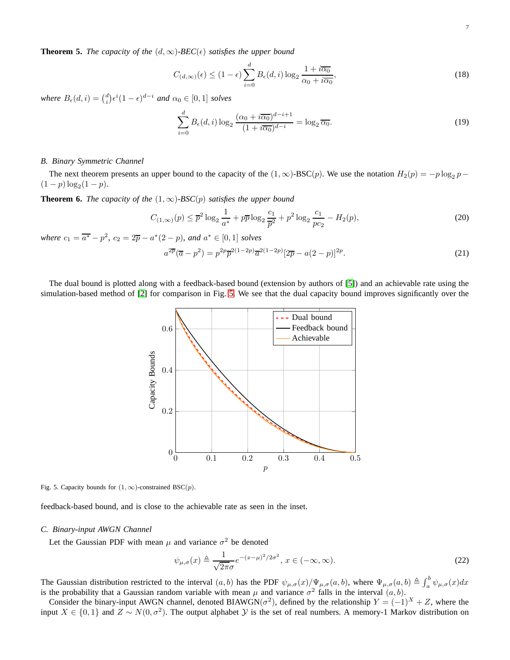**Theorem 5.** *The capacity of the*  $(d, \infty)$ *-BEC*( $\epsilon$ ) *satisfies the upper bound* 

$$
C_{(d,\infty)}(\epsilon) \le (1-\epsilon) \sum_{i=0}^{d} B_{\epsilon}(d,i) \log_2 \frac{1+i\overline{\alpha_0}}{\alpha_0+i\overline{\alpha_0}},
$$
\n(18)

*where*  $B_{\epsilon}(d, i) = {d \choose i} \epsilon^{i} (1 - \epsilon)^{d-i}$  *and*  $\alpha_0 \in [0, 1]$  *solves* 

<span id="page-6-1"></span>
$$
\sum_{i=0}^{d} B_{\epsilon}(d,i) \log_2 \frac{(\alpha_0 + i \overline{\alpha_0})^{d-i+1}}{(1 + i \overline{\alpha_0})^{d-i}} = \log_2 \overline{\alpha_0}.
$$
\n(19)

## *B. Binary Symmetric Channel*

The next theorem presents an upper bound to the capacity of the  $(1,\infty)$ -BSC $(p)$ . We use the notation  $H_2(p) = -p \log_2 p - p$  $(1-p)\log_2(1-p)$ .

**Theorem 6.** *The capacity of the*  $(1, \infty)$ *-BSC* $(p)$  *satisfies the upper bound* 

$$
C_{(1,\infty)}(p) \le \overline{p}^2 \log_2 \frac{1}{a^*} + p\overline{p} \log_2 \frac{c_1}{\overline{p}^2} + p^2 \log_2 \frac{c_1}{p c_2} - H_2(p),\tag{20}
$$

*where*  $c_1 = \overline{a^*} - p^2$ ,  $c_2 = 2\overline{p} - a^*(2 - p)$ , and  $a^* \in [0, 1]$  *solves* 

<span id="page-6-2"></span>
$$
a^{2\overline{p}}(\overline{a}-p^2)=p^{2p}\overline{p}^{2(1-2p)}\overline{a}^{2(1-2p)}[2\overline{p}-a(2-p)]^{2p}.
$$
\n(21)

The dual bound is plotted along with a feedback-based bound (extension by authors of [\[5\]](#page-15-4)) and an achievable rate using the simulation-based method of [\[2\]](#page-15-1) for comparison in Fig. [5.](#page-6-0) We see that the dual capacity bound improves significantly over the



<span id="page-6-0"></span>Fig. 5. Capacity bounds for  $(1, \infty)$ -constrained BSC(p).

feedback-based bound, and is close to the achievable rate as seen in the inset.

#### *C. Binary-input AWGN Channel*

Let the Gaussian PDF with mean  $\mu$  and variance  $\sigma^2$  be denoted

$$
\psi_{\mu,\sigma}(x) \triangleq \frac{1}{\sqrt{2\pi}\sigma} e^{-(x-\mu)^2/2\sigma^2}, \, x \in (-\infty,\infty).
$$
\n(22)

The Gaussian distribution restricted to the interval  $(a, b)$  has the PDF  $\psi_{\mu,\sigma}(x)/\Psi_{\mu,\sigma}(a, b)$ , where  $\Psi_{\mu,\sigma}(a, b) \triangleq \int_a^b \psi_{\mu,\sigma}(x)dx$ is the probability that a Gaussian random variable with mean  $\mu$  and variance  $\sigma^2$  falls in the interval  $(a, b)$ .

Consider the binary-input AWGN channel, denoted BIAWGN( $\sigma^2$ ), defined by the relationship  $Y = (-1)^X + Z$ , where the input  $X \in \{0,1\}$  and  $Z \sim N(0, \sigma^2)$ . The output alphabet  $Y$  is the set of real numbers. A memory-1 Markov distribution on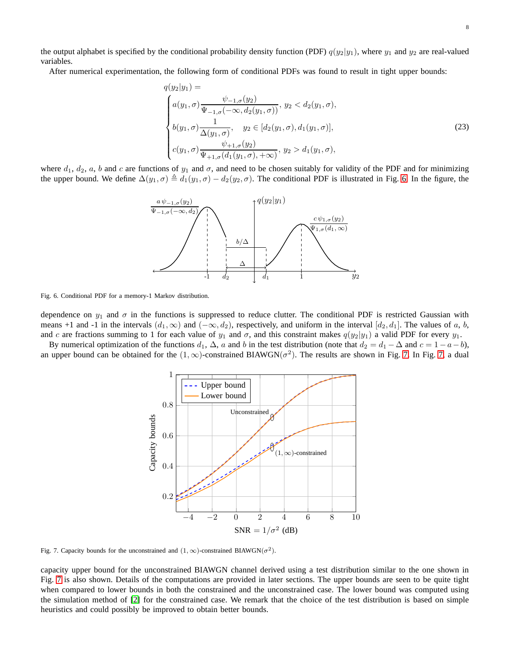the output alphabet is specified by the conditional probability density function (PDF)  $q(y_2|y_1)$ , where  $y_1$  and  $y_2$  are real-valued variables.

After numerical experimentation, the following form of conditional PDFs was found to result in tight upper bounds:

<span id="page-7-2"></span>
$$
q(y_2|y_1) =
$$
  
\n
$$
\begin{cases}\na(y_1, \sigma) \frac{\psi_{-1, \sigma}(y_2)}{\Psi_{-1, \sigma}(-\infty, d_2(y_1, \sigma))}, y_2 < d_2(y_1, \sigma), \\
b(y_1, \sigma) \frac{1}{\Delta(y_1, \sigma)}, y_2 \in [d_2(y_1, \sigma), d_1(y_1, \sigma)], \\
c(y_1, \sigma) \frac{\psi_{+1, \sigma}(y_2)}{\Psi_{+1, \sigma}(d_1(y_1, \sigma), +\infty)}, y_2 > d_1(y_1, \sigma),\n\end{cases}
$$
\n(23)

where  $d_1$ ,  $d_2$ ,  $a$ ,  $b$  and  $c$  are functions of  $y_1$  and  $\sigma$ , and need to be chosen suitably for validity of the PDF and for minimizing the upper bound. We define  $\Delta(y_1, \sigma) \triangleq d_1(y_1, \sigma) - d_2(y_2, \sigma)$ . The conditional PDF is illustrated in Fig. [6.](#page-7-0) In the figure, the



<span id="page-7-0"></span>Fig. 6. Conditional PDF for a memory-1 Markov distribution.

dependence on  $y_1$  and  $\sigma$  in the functions is suppressed to reduce clutter. The conditional PDF is restricted Gaussian with means +1 and -1 in the intervals  $(d_1, \infty)$  and  $(-\infty, d_2)$ , respectively, and uniform in the interval  $[d_2, d_1]$ . The values of a, b, and c are fractions summing to 1 for each value of  $y_1$  and  $\sigma$ , and this constraint makes  $q(y_2|y_1)$  a valid PDF for every  $y_1$ .

By numerical optimization of the functions  $d_1$ ,  $\Delta$ , a and b in the test distribution (note that  $d_2 = d_1 - \Delta$  and  $c = 1 - a - b$ ), an upper bound can be obtained for the  $(1,\infty)$ -constrained BIAWGN( $\sigma^2$ ). The results are shown in Fig. [7.](#page-7-1) In Fig. [7,](#page-7-1) a dual



<span id="page-7-1"></span>Fig. 7. Capacity bounds for the unconstrained and  $(1, \infty)$ -constrained BIAWGN( $\sigma^2$ ).

capacity upper bound for the unconstrained BIAWGN channel derived using a test distribution similar to the one shown in Fig. [7](#page-7-1) is also shown. Details of the computations are provided in later sections. The upper bounds are seen to be quite tight when compared to lower bounds in both the constrained and the unconstrained case. The lower bound was computed using the simulation method of [\[2\]](#page-15-1) for the constrained case. We remark that the choice of the test distribution is based on simple heuristics and could possibly be improved to obtain better bounds.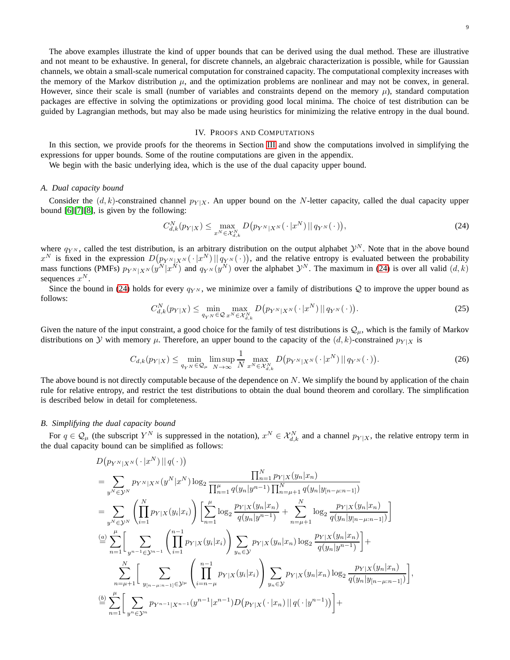The above examples illustrate the kind of upper bounds that can be derived using the dual method. These are illustrative and not meant to be exhaustive. In general, for discrete channels, an algebraic characterization is possible, while for Gaussian channels, we obtain a small-scale numerical computation for constrained capacity. The computational complexity increases with the memory of the Markov distribution  $\mu$ , and the optimization problems are nonlinear and may not be convex, in general. However, since their scale is small (number of variables and constraints depend on the memory  $\mu$ ), standard computation packages are effective in solving the optimizations or providing good local minima. The choice of test distribution can be guided by Lagrangian methods, but may also be made using heuristics for minimizing the relative entropy in the dual bound.

## IV. PROOFS AND COMPUTATIONS

<span id="page-8-0"></span>In this section, we provide proofs for the theorems in Section [III](#page-3-0) and show the computations involved in simplifying the expressions for upper bounds. Some of the routine computations are given in the appendix.

We begin with the basic underlying idea, which is the use of the dual capacity upper bound.

## *A. Dual capacity bound*

Consider the  $(d, k)$ -constrained channel  $p_{Y|X}$ . An upper bound on the N-letter capacity, called the dual capacity upper bound [\[6\]](#page-15-5)[\[7\]](#page-15-6)[\[8\]](#page-15-7), is given by the following:

<span id="page-8-1"></span>
$$
C_{d,k}^{N}(p_{Y|X}) \leq \max_{x^{N} \in \mathcal{X}_{d,k}^{N}} D\big(p_{Y^{N}|X^{N}}(\cdot | x^{N}) || q_{Y^{N}}(\cdot)\big),\tag{24}
$$

where  $q_{YN}$ , called the test distribution, is an arbitrary distribution on the output alphabet  $\mathcal{Y}^N$ . Note that in the above bound  $x^N$  is fixed in the expression  $D(p_{Y^N|X^N}(\cdot|x^N)||q_{Y^N}(\cdot))$ , and the relative entropy is evaluated between the probability mass functions (PMFs)  $p_{Y^N|X^N}(y^N|x^N)$  and  $q_{Y^N}(y^N)$  over the alphabet  $\mathcal{Y}^N$ . The maximum in [\(24\)](#page-8-1) is over all valid  $(d, k)$ sequences  $x^N$ .

Since the bound in [\(24\)](#page-8-1) holds for every  $q_{Y^N}$ , we minimize over a family of distributions Q to improve the upper bound as follows:

<span id="page-8-2"></span>
$$
C_{d,k}^N(p_{Y|X}) \le \min_{q_{Y^N} \in \mathcal{Q}} \max_{x^N \in \mathcal{X}_{d,k}^N} D\big(p_{Y^N|X^N}(\cdot | x^N) \,|| \, q_{Y^N}(\cdot)\big). \tag{25}
$$

Given the nature of the input constraint, a good choice for the family of test distributions is  $\mathcal{Q}_{\mu}$ , which is the family of Markov distributions on Y with memory  $\mu$ . Therefore, an upper bound to the capacity of the  $(d, k)$ -constrained  $p_{Y|X}$  is

$$
C_{d,k}(p_{Y|X}) \le \min_{q_{Y^N} \in \mathcal{Q}_{\mu}} \limsup_{N \to \infty} \frac{1}{N} \max_{x^N \in \mathcal{X}_{d,k}^N} D\big(p_{Y^N|X^N}(\cdot | x^N) || q_{Y^N}(\cdot)\big).
$$
 (26)

The above bound is not directly computable because of the dependence on  $N$ . We simplify the bound by application of the chain rule for relative entropy, and restrict the test distributions to obtain the dual bound theorem and corollary. The simplification is described below in detail for completeness.

## *B. Simplifying the dual capacity bound*

For  $q \in \mathcal{Q}_\mu$  (the subscript  $Y^N$  is suppressed in the notation),  $x^N \in \mathcal{X}_{d,k}^N$  and a channel  $p_{Y|X}$ , the relative entropy term in the dual capacity bound can be simplified as follows:

$$
D(p_{Y^N|X^N}(\cdot|x^N)||q(\cdot))
$$
\n
$$
= \sum_{y^N \in \mathcal{Y}^N} p_{Y^N|X^N}(y^N|x^N) \log_2 \frac{\prod_{n=1}^N p_{Y|X}(y_n|x_n)}{\prod_{n=1}^{\mu} q(y_n|y^{n-1}) \prod_{n=\mu+1}^N q(y_n|y_{[n-\mu:n-1]})}
$$
\n
$$
= \sum_{y^N \in \mathcal{Y}^N} \left( \prod_{i=1}^N p_{Y|X}(y_i|x_i) \right) \left[ \sum_{n=1}^{\mu} \log_2 \frac{p_{Y|X}(y_n|x_n)}{q(y_n|y^{n-1})} + \sum_{n=\mu+1}^N \log_2 \frac{p_{Y|X}(y_n|x_n)}{q(y_n|y_{[n-\mu:n-1]})} \right]
$$
\n
$$
\stackrel{(a)}{=} \sum_{n=1}^{\mu} \left[ \sum_{y^{n-1} \in \mathcal{Y}^{n-1}} \left( \prod_{i=1}^{n-1} p_{Y|X}(y_i|x_i) \right) \sum_{y_n \in \mathcal{Y}} p_{Y|X}(y_n|x_n) \log_2 \frac{p_{Y|X}(y_n|x_n)}{q(y_n|y^{n-1})} \right] + \sum_{n=\mu+1}^N \left[ \sum_{y_{[n-\mu:n-1]} \in \mathcal{Y}^{\mu}} \left( \prod_{i=n-\mu}^{n-1} p_{Y|X}(y_i|x_i) \right) \sum_{y_n \in \mathcal{Y}} p_{Y|X}(y_n|x_n) \log_2 \frac{p_{Y|X}(y_n|x_n)}{q(y_n|y_{[n-\mu:n-1]})} \right],
$$
\n
$$
\stackrel{(b)}{=} \sum_{n=1}^{\mu} \left[ \sum_{y^n \in \mathcal{Y}^n} p_{Y^{n-1}|X^{n-1}}(y^{n-1}|x^{n-1}) D(p_{Y|X}(\cdot|x_n) || q(\cdot | y^{n-1})) \right] +
$$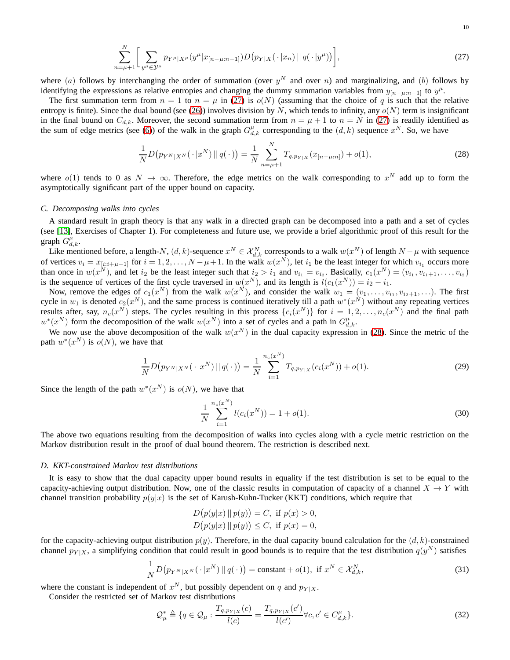$$
\sum_{n=\mu+1}^{N} \bigg[ \sum_{y^{\mu} \in \mathcal{Y}^{\mu}} p_{Y^{\mu}|X^{\mu}}(y^{\mu}|x_{[n-\mu:n-1]}) D(p_{Y|X}(\cdot|x_n) || q(\cdot|y^{\mu})) \bigg], \tag{27}
$$

where (a) follows by interchanging the order of summation (over  $y^N$  and over n) and marginalizing, and (b) follows by identifying the expressions as relative entropies and changing the dummy summation variables from  $y_{[n-\mu:n-1]}$  to  $y^{\mu}$ .

The first summation term from  $n = 1$  to  $n = \mu$  in [\(27\)](#page-9-0) is  $o(N)$  (assuming that the choice of q is such that the relative entropy is finite). Since the dual bound (see [\(26\)](#page-8-2)) involves division by N, which tends to infinity, any  $o(N)$  term is insignificant in the final bound on  $C_{d,k}$ . Moreover, the second summation term from  $n = \mu + 1$  to  $n = N$  in [\(27\)](#page-9-0) is readily identified as the sum of edge metrics (see [\(6\)](#page-3-3)) of the walk in the graph  $G_{d,k}^{\mu}$  corresponding to the  $(d, k)$  sequence  $x^N$ . So, we have

<span id="page-9-1"></span><span id="page-9-0"></span>
$$
\frac{1}{N}D\big(p_{Y^N|X^N}(\cdot|x^N)\,||\,q(\cdot\,)\big) = \frac{1}{N}\sum_{n=\mu+1}^N T_{q,p_{Y|X}}(x_{[n-\mu:n]}) + o(1),\tag{28}
$$

where  $o(1)$  tends to 0 as  $N \to \infty$ . Therefore, the edge metrics on the walk corresponding to  $x^N$  add up to form the asymptotically significant part of the upper bound on capacity.

#### *C. Decomposing walks into cycles*

A standard result in graph theory is that any walk in a directed graph can be decomposed into a path and a set of cycles (see [\[13\]](#page-15-13), Exercises of Chapter 1). For completeness and future use, we provide a brief algorithmic proof of this result for the graph  $G_{d,k}^{\mu}$ .

Like mentioned before, a length-N,  $(d, k)$ -sequence  $x^N \in \mathcal{X}_{d,k}^N$  corresponds to a walk  $w(x^N)$  of length  $N - \mu$  with sequence of vertices  $v_i = x_{[i:i+\mu-1]}$  for  $i = 1, 2, ..., N-\mu+1$ . In the walk  $w(x^N)$ , let  $i_1$  be the least integer for which  $v_{i_1}$  occurs more than once in  $w(x^N)$ , and let  $i_2$  be the least integer such that  $i_2 > i_1$  and  $v_{i_1} = v_{i_2}$ . Basically,  $c_1(x^N) = (v_{i_1}, v_{i_1+1}, \ldots, v_{i_2})$ is the sequence of vertices of the first cycle traversed in  $w(x^N)$ , and its length is  $l(c_1(x^N)) = i_2 - i_1$ .

Now, remove the edges of  $c_1(x^N)$  from the walk  $w(x^N)$ , and consider the walk  $w_1 = (v_1, \ldots, v_{i_1}, v_{i_2+1}, \ldots)$ . The first cycle in  $w_1$  is denoted  $c_2(x^N)$ , and the same process is continued iteratively till a path  $w^*(x^N)$  without any repeating vertices results after, say,  $n_c(x^N)$  steps. The cycles resulting in this process  $\{c_i(x^N)\}\$  for  $i=1,2,\ldots,n_c(x^N)$  and the final path  $w^*(x^N)$  form the decomposition of the walk  $w(x^N)$  into a set of cycles and a path in  $G_{d,k}^{\mu}$ .

We now use the above decomposition of the walk  $w(x^N)$  in the dual capacity expression in [\(28\)](#page-9-1). Since the metric of the path  $w^*(x^N)$  is  $o(N)$ , we have that

$$
\frac{1}{N}D\big(p_{Y^N|X^N}(\cdot|x^N)\,||\,q(\cdot\,)\big) = \frac{1}{N}\sum_{i=1}^{n_c(x^N)}T_{q,p_{Y|X}}(c_i(x^N)) + o(1). \tag{29}
$$

Since the length of the path  $w^*(x^N)$  is  $o(N)$ , we have that

<span id="page-9-3"></span><span id="page-9-2"></span>
$$
\frac{1}{N} \sum_{i=1}^{n_c(x^N)} l(c_i(x^N)) = 1 + o(1).
$$
\n(30)

The above two equations resulting from the decomposition of walks into cycles along with a cycle metric restriction on the Markov distribution result in the proof of dual bound theorem. The restriction is described next.

#### *D. KKT-constrained Markov test distributions*

It is easy to show that the dual capacity upper bound results in equality if the test distribution is set to be equal to the capacity-achieving output distribution. Now, one of the classic results in computation of capacity of a channel  $X \to Y$  with channel transition probability  $p(y|x)$  is the set of Karush-Kuhn-Tucker (KKT) conditions, which require that

$$
D(p(y|x) || p(y)) = C, \text{ if } p(x) > 0, D(p(y|x) || p(y)) \le C, \text{ if } p(x) = 0,
$$

for the capacity-achieving output distribution  $p(y)$ . Therefore, in the dual capacity bound calculation for the  $(d, k)$ -constrained channel  $p_{Y|X}$ , a simplifying condition that could result in good bounds is to require that the test distribution  $q(y^N)$  satisfies

$$
\frac{1}{N}D\big(p_{Y^N|X^N}(\cdot|x^N)\,\|\,q(\cdot\,)\big)=\text{constant}+o(1),\text{ if }x^N\in\mathcal{X}_{d,k}^N,\tag{31}
$$

where the constant is independent of  $x^N$ , but possibly dependent on q and  $p_{Y|X}$ .

Consider the restricted set of Markov test distributions

$$
\mathcal{Q}_{\mu}^{*} \triangleq \{q \in \mathcal{Q}_{\mu} : \frac{T_{q, p_{Y|X}}(c)}{l(c)} = \frac{T_{q, p_{Y|X}}(c')}{l(c')} \forall c, c' \in C_{d,k}^{\mu} \}.
$$
\n(32)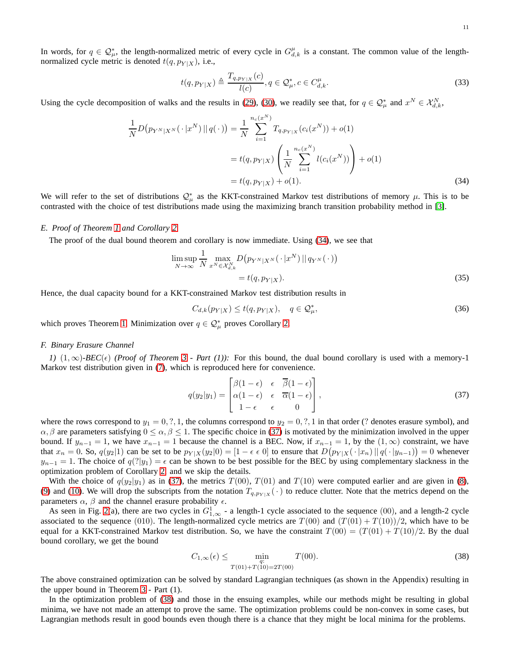In words, for  $q \in \mathcal{Q}_{\mu}^*$ , the length-normalized metric of every cycle in  $G_{d,k}^{\mu}$  is a constant. The common value of the lengthnormalized cycle metric is denoted  $t(q, p_{Y|X})$ , i.e.,

<span id="page-10-0"></span>
$$
t(q, p_{Y|X}) \triangleq \frac{T_{q, p_{Y|X}}(c)}{l(c)}, q \in \mathcal{Q}_{\mu}^*, c \in C_{d,k}^{\mu}.
$$
\n
$$
(33)
$$

Using the cycle decomposition of walks and the results in [\(29\)](#page-9-2), [\(30\)](#page-9-3), we readily see that, for  $q \in \mathcal{Q}_{\mu}^*$  and  $x^N \in \mathcal{X}_{d,k}^N$ ,

$$
\frac{1}{N}D(p_{Y^N|X^N}(\cdot|x^N)||q(\cdot)) = \frac{1}{N} \sum_{i=1}^{n_c(x^N)} T_{q,p_{Y|X}}(c_i(x^N)) + o(1)
$$
\n
$$
= t(q, p_{Y|X}) \left(\frac{1}{N} \sum_{i=1}^{n_c(x^N)} l(c_i(x^N))\right) + o(1)
$$
\n
$$
= t(q, p_{Y|X}) + o(1).
$$
\n(34)

We will refer to the set of distributions  $Q^*_{\mu}$  as the KKT-constrained Markov test distributions of memory  $\mu$ . This is to be contrasted with the choice of test distributions made using the maximizing branch transition probability method in [\[3\]](#page-15-2).

## *E. Proof of Theorem [1](#page-3-1) and Corollary [2](#page-4-0)*

The proof of the dual bound theorem and corollary is now immediate. Using [\(34\)](#page-10-0), we see that

$$
\limsup_{N \to \infty} \frac{1}{N} \max_{x^N \in \mathcal{X}_{d,k}^N} D\big(p_{Y^N|X^N}(\cdot | x^N) || q_{Y^N}(\cdot)\big) \n= t(q, p_{Y|X}).
$$
\n(35)

Hence, the dual capacity bound for a KKT-constrained Markov test distribution results in

$$
C_{d,k}(p_{Y|X}) \le t(q, p_{Y|X}), \quad q \in \mathcal{Q}_{\mu}^*,
$$
\n
$$
(36)
$$

which proves Theorem [1.](#page-3-1) Minimization over  $q \in \mathcal{Q}_{\mu}^*$  proves Corollary [2.](#page-4-0)

#### *F. Binary Erasure Channel*

*I*)  $(1, ∞)$ *-BEC*( $\epsilon$ ) *(Proof of Theorem [3](#page-4-1) - Part (1)):* For this bound, the dual bound corollary is used with a memory-1 Markov test distribution given in [\(7\)](#page-3-2), which is reproduced here for convenience.

<span id="page-10-1"></span>
$$
q(y_2|y_1) = \begin{bmatrix} \beta(1-\epsilon) & \epsilon & \overline{\beta}(1-\epsilon) \\ \alpha(1-\epsilon) & \epsilon & \overline{\alpha}(1-\epsilon) \\ 1-\epsilon & \epsilon & 0 \end{bmatrix},
$$
\n(37)

where the rows correspond to  $y_1 = 0, ?, 1$ , the columns correspond to  $y_2 = 0, ?, 1$  in that order (? denotes erasure symbol), and  $\alpha, \beta$  are parameters satisfying  $0 \le \alpha, \beta \le 1$ . The specific choice in [\(37\)](#page-10-1) is motivated by the minimization involved in the upper bound. If  $y_{n-1} = 1$ , we have  $x_{n-1} = 1$  because the channel is a BEC. Now, if  $x_{n-1} = 1$ , by the  $(1, \infty)$  constraint, we have that  $x_n = 0$ . So,  $q(y_2|1)$  can be set to be  $p_{Y|X}(y_2|0) = [1 - \epsilon \epsilon \ 0]$  to ensure that  $D(p_{Y|X}(\cdot | x_n) || q(\cdot | y_{n-1})) = 0$  whenever  $y_{n-1} = 1$ . The choice of  $q(?|y_1) = \epsilon$  can be shown to be best possible for the BEC by using complementary slackness in the optimization problem of Corollary [2,](#page-4-0) and we skip the details.

With the choice of  $q(y_2|y_1)$  as in [\(37\)](#page-10-1), the metrics  $T(00)$ ,  $T(01)$  and  $T(10)$  were computed earlier and are given in [\(8\)](#page-3-4), [\(9\)](#page-3-5) and [\(10\)](#page-3-6). We will drop the subscripts from the notation  $T_{q,p_{Y|X}}(\cdot)$  to reduce clutter. Note that the metrics depend on the parameters  $\alpha$ ,  $\beta$  and the channel erasure probability  $\epsilon$ .

As seen in Fig. [2\(](#page-2-0)a), there are two cycles in  $G_{1,\infty}^1$  - a length-1 cycle associated to the sequence (00), and a length-2 cycle associated to the sequence (010). The length-normalized cycle metrics are  $T(00)$  and  $(T(01) + T(10))/2$ , which have to be equal for a KKT-constrained Markov test distribution. So, we have the constraint  $T(00) = (T(01) + T(10)/2$ . By the dual bound corollary, we get the bound

<span id="page-10-2"></span>
$$
C_{1,\infty}(\epsilon) \le \min_{\substack{q:\\T(01)+T(10)=2T(00)}} T(00). \tag{38}
$$

The above constrained optimization can be solved by standard Lagrangian techniques (as shown in the Appendix) resulting in the upper bound in Theorem [3](#page-4-1) - Part (1).

In the optimization problem of [\(38\)](#page-10-2) and those in the ensuing examples, while our methods might be resulting in global minima, we have not made an attempt to prove the same. The optimization problems could be non-convex in some cases, but Lagrangian methods result in good bounds even though there is a chance that they might be local minima for the problems.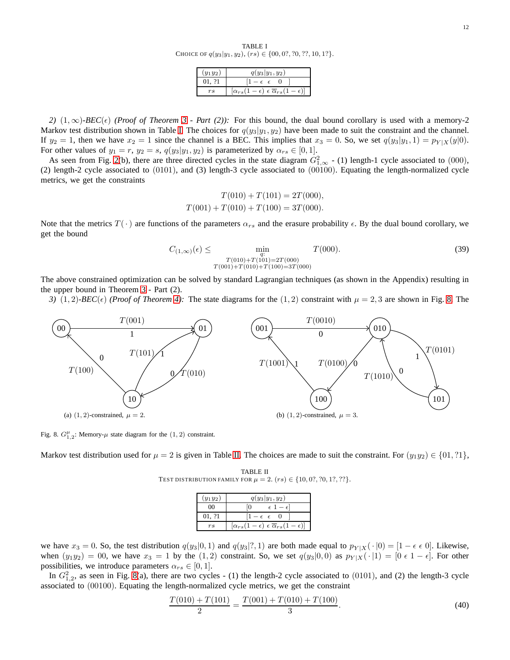TABLE I CHOICE OF  $q(y_3|y_1, y_2)$ ,  $(rs) \in \{00, 0.7, 70, 77, 10, 1.7\}$ .

| $y_1y_2$ | $q(y_3 y_1,y_2)$                                                        |
|----------|-------------------------------------------------------------------------|
| 01.21    | $1 - \epsilon$ $\epsilon$                                               |
|          | $[\alpha_{rs}(1-\epsilon) \epsilon \overline{\alpha}_{rs}(1-\epsilon)]$ |

<span id="page-11-0"></span>2)  $(1, ∞)$ -BEC( $ε$ ) *(Proof of Theorem [3](#page-4-1) - Part (2)):* For this bound, the dual bound corollary is used with a memory-2 Markov test distribution shown in Table [I.](#page-11-0) The choices for  $q(y_3|y_1, y_2)$  have been made to suit the constraint and the channel. If  $y_2 = 1$ , then we have  $x_2 = 1$  since the channel is a BEC. This implies that  $x_3 = 0$ . So, we set  $q(y_3|y_1, 1) = p_{Y|X}(y|0)$ . For other values of  $y_1 = r$ ,  $y_2 = s$ ,  $q(y_3|y_1, y_2)$  is parameterized by  $\alpha_{rs} \in [0, 1]$ .

As seen from Fig. [2\(](#page-2-0)b), there are three directed cycles in the state diagram  $G_{1,\infty}^2$  - (1) length-1 cycle associated to (000), (2) length-2 cycle associated to  $(0101)$ , and  $(3)$  length-3 cycle associated to  $(00100)$ . Equating the length-normalized cycle metrics, we get the constraints

<span id="page-11-3"></span>
$$
T(010) + T(101) = 2T(000),
$$
  

$$
T(001) + T(010) + T(100) = 3T(000).
$$

Note that the metrics  $T(\cdot)$  are functions of the parameters  $\alpha_{rs}$  and the erasure probability  $\epsilon$ . By the dual bound corollary, we get the bound

$$
C_{(1,\infty)}(\epsilon) \le \min_{\substack{q:\atop q \equiv 0 \pmod{1}}} T(000). \tag{39}
$$
  

$$
T(010) + T(101) = 2T(000)
$$
  

$$
T(001) + T(010) + T(100) = 3T(000)
$$

The above constrained optimization can be solved by standard Lagrangian techniques (as shown in the Appendix) resulting in the upper bound in Theorem [3](#page-4-1) - Part (2).

*3)* (1, 2)*-BEC*( $\epsilon$ ) *(Proof of Theorem [4\)](#page-5-2)*: The state diagrams for the (1, 2) constraint with  $\mu = 2, 3$  are shown in Fig. [8.](#page-11-1) The



<span id="page-11-1"></span>Fig. 8.  $G_{1,2}^{\mu}$ : Memory- $\mu$  state diagram for the  $(1, 2)$  constraint.

<span id="page-11-2"></span>Markov test distribution used for  $\mu = 2$  is given in Table [II.](#page-11-2) The choices are made to suit the constraint. For  $(y_1y_2) \in \{01, ?1\}$ ,

TABLE II TEST DISTRIBUTION FAMILY FOR  $\mu = 2$ .  $(rs) \in \{10, 0?, ?0, 1?, ??\}.$ 

| $(y_1y_2)$  | $q(y_3 y_1,y_2)$                                                        |
|-------------|-------------------------------------------------------------------------|
| ൜           | $\epsilon$ 1 – $\epsilon$ <sup>1</sup>                                  |
| 01, 21      | $1-\epsilon \epsilon \quad 0$                                           |
| $r_{\rm S}$ | $[\alpha_{rs}(1-\epsilon) \epsilon \overline{\alpha}_{rs}(1-\epsilon)]$ |

we have  $x_3 = 0$ . So, the test distribution  $q(y_3|0, 1)$  and  $q(y_3|?$ , 1) are both made equal to  $p_{Y|X}(\cdot |0) = [1 - \epsilon \epsilon 0]$ . Likewise, when  $(y_1y_2) = 00$ , we have  $x_3 = 1$  by the  $(1, 2)$  constraint. So, we set  $q(y_3|0, 0)$  as  $p_{Y|X}(\cdot | 1) = [0 \in 1 - \epsilon]$ . For other possibilities, we introduce parameters  $\alpha_{rs} \in [0, 1]$ .

In  $G_{1,2}^2$ , as seen in Fig. [8\(](#page-11-1)a), there are two cycles - (1) the length-2 cycle associated to (0101), and (2) the length-3 cycle associated to (00100). Equating the length-normalized cycle metrics, we get the constraint

$$
\frac{T(010) + T(101)}{2} = \frac{T(001) + T(010) + T(100)}{3}.
$$
\n(40)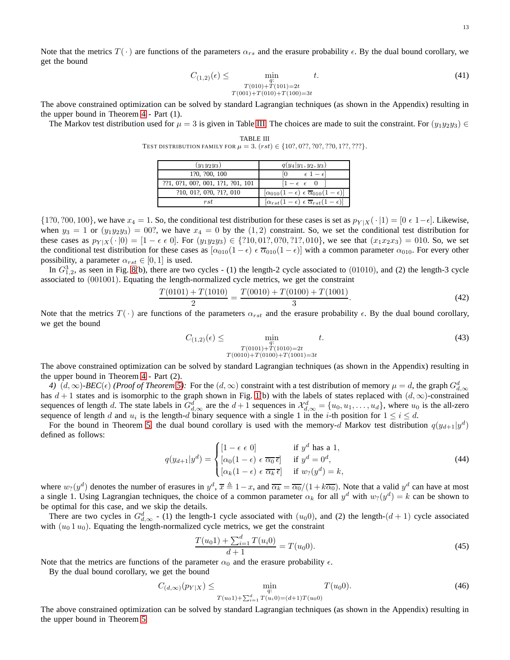Note that the metrics  $T(\cdot)$  are functions of the parameters  $\alpha_{rs}$  and the erasure probability  $\epsilon$ . By the dual bound corollary, we get the bound

$$
C_{(1,2)}(\epsilon) \le \min_{\substack{q:\ (010) + T(101) = 2t\\ T(001) + T(010) + T(100) = 3t}} t.
$$
\n(41)

The above constrained optimization can be solved by standard Lagrangian techniques (as shown in the Appendix) resulting in the upper bound in Theorem [4](#page-5-2) - Part (1).

<span id="page-12-1"></span>TABLE III

<span id="page-12-0"></span>The Markov test distribution used for  $\mu = 3$  is given in Table [III.](#page-12-0) The choices are made to suit the constraint. For  $(y_1y_2y_3) \in$ 

TEST DISTRIBUTION FAMILY FOR µ = 3. (rst) ∈ {10?, 0??, ?0?, ??0, 1??, ???}. (y1y2y3) q(y4|y1, y2, y3) 1?0, ?00, 100 [0 ǫ 1 − ǫ] ??1, 0?1, 00?, 001, 1?1, ?01, 101 [1 − ǫ ǫ 0 ]

rst  $\left[ \alpha_{rst}(1-\epsilon) \epsilon \overline{\alpha}_{rst}(1-\epsilon) \right]$ 

?10, 01?, 0?0, ?1?, 010

 $\{1?0, ?00, 100\}$ , we have  $x_4 = 1$ . So, the conditional test distribution for these cases is set as  $p_{Y|X}(\cdot | 1) = [0 \in 1 - \epsilon]$ . Likewise, when  $y_3 = 1$  or  $(y_1y_2y_3) = 00$ ?, we have  $x_4 = 0$  by the  $(1, 2)$  constraint. So, we set the conditional test distribution for these cases as  $p_{Y|X}(\cdot|0) = [1 - \epsilon \epsilon 0]$ . For  $(y_1y_2y_3) \in \{?10, 017, 070, ?17, 010\}$ , we see that  $(x_1x_2x_3) = 010$ . So, we set the conditional test distribution for these cases as  $[\alpha_{010}(1-\epsilon) \epsilon \overline{\alpha}_{010}(1-\epsilon)]$  with a common parameter  $\alpha_{010}$ . For every other possibility, a parameter  $\alpha_{rst} \in [0,1]$  is used.

In  $G_{1,2}^3$ , as seen in Fig. [8\(](#page-11-1)b), there are two cycles - (1) the length-2 cycle associated to (01010), and (2) the length-3 cycle associated to (001001). Equating the length-normalized cycle metrics, we get the constraint

$$
\frac{T(0101) + T(1010)}{2} = \frac{T(0010) + T(0100) + T(1001)}{3}.
$$
\n(42)

Note that the metrics  $T(\cdot)$  are functions of the parameters  $\alpha_{rst}$  and the erasure probability  $\epsilon$ . By the dual bound corollary, we get the bound

<span id="page-12-2"></span>
$$
C_{(1,2)}(\epsilon) \le \min_{\substack{q:\\T(0101)+T(1010)=2t\\T(0010)+T(0100)+T(1001)=3t}} t.
$$
\n(43)

The above constrained optimization can be solved by standard Lagrangian techniques (as shown in the Appendix) resulting in the upper bound in Theorem [4](#page-5-2) - Part (2).

*4*)  $(d, ∞)$ -*BEC*( $\epsilon$ ) *(Proof of Theorem [5\)](#page-6-1)*: For the  $(d, ∞)$  constraint with a test distribution of memory  $\mu = d$ , the graph  $G_{d, ∞}^d$ has  $d + 1$  states and is isomorphic to the graph shown in Fig. [1\(](#page-1-0)b) with the labels of states replaced with  $(d, \infty)$ -constrained sequences of length d. The state labels in  $G_{d,\infty}^d$  are the  $d+1$  sequences in  $\mathcal{X}_{d,\infty}^d = \{u_0, u_1, \dots, u_d\}$ , where  $u_0$  is the all-zero sequence of length d and  $u_i$  is the length-d binary sequence with a single 1 in the *i*-th position for  $1 \le i \le d$ .

For the bound in Theorem [5,](#page-6-1) the dual bound corollary is used with the memory-d Markov test distribution  $q(y_{d+1}|y^d)$ defined as follows:

$$
q(y_{d+1}|y^d) = \begin{cases} [1 - \epsilon \epsilon \ 0] & \text{if } y^d \text{ has a 1,} \\ [\alpha_0(1 - \epsilon) \epsilon \ \overline{\alpha_0} \ \overline{\epsilon}] & \text{if } y^d = 0^d, \\ [\alpha_k(1 - \epsilon) \epsilon \ \overline{\alpha_k} \ \overline{\epsilon}] & \text{if } w_2(y^d) = k, \end{cases}
$$
(44)

where  $w_2(y^d)$  denotes the number of erasures in  $y^d$ ,  $\overline{x} \triangleq 1-x$ , and  $\overline{\alpha_k} = \overline{\alpha_0}/(1 + k \overline{\alpha_0})$ . Note that a valid  $y^d$  can have at most a single 1. Using Lagrangian techniques, the choice of a common parameter  $\alpha_k$  for all  $y^d$  with  $w_2(y^d) = k$  can be shown to be optimal for this case, and we skip the details.

There are two cycles in  $G_{d,\infty}^d$  - (1) the length-1 cycle associated with  $(u_0,0)$ , and (2) the length- $(d+1)$  cycle associated with  $(u_0 1 u_0)$ . Equating the length-normalized cycle metrics, we get the constraint

$$
\frac{T(u_0 1) + \sum_{i=1}^d T(u_i 0)}{d+1} = T(u_0 0). \tag{45}
$$

Note that the metrics are functions of the parameter  $\alpha_0$  and the erasure probability  $\epsilon$ .

By the dual bound corollary, we get the bound

<span id="page-12-3"></span>
$$
C_{(d,\infty)}(p_{Y|X}) \le \min_{\substack{q:\\T(u_01) + \sum_{i=1}^d T(u_i0) = (d+1)T(u_00)}} T(u_00). \tag{46}
$$

The above constrained optimization can be solved by standard Lagrangian techniques (as shown in the Appendix) resulting in the upper bound in Theorem [5.](#page-6-1)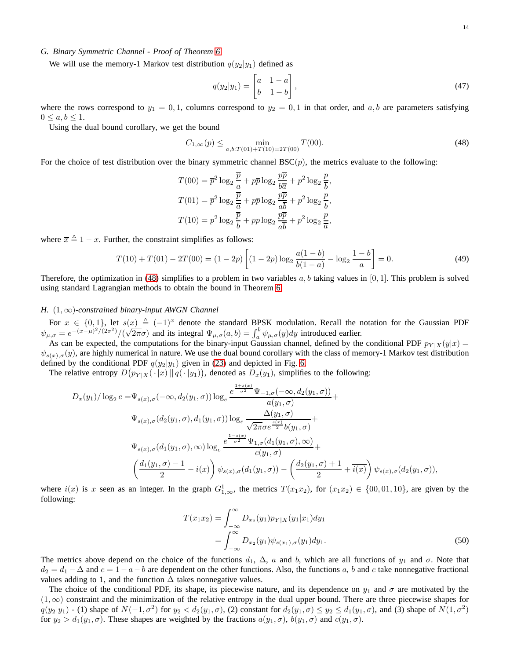#### *G. Binary Symmetric Channel - Proof of Theorem [6](#page-6-2)*

We will use the memory-1 Markov test distribution  $q(y_2|y_1)$  defined as

<span id="page-13-0"></span>
$$
q(y_2|y_1) = \begin{bmatrix} a & 1-a \\ b & 1-b \end{bmatrix},\tag{47}
$$

where the rows correspond to  $y_1 = 0, 1$ , columns correspond to  $y_2 = 0, 1$  in that order, and a, b are parameters satisfying  $0 \leq a, b \leq 1$ .

Using the dual bound corollary, we get the bound

$$
C_{1,\infty}(p) \le \min_{a,b:T(01)+T(10)=2T(00)} T(00). \tag{48}
$$

For the choice of test distribution over the binary symmetric channel  $BSC(p)$ , the metrics evaluate to the following:

$$
T(00) = \overline{p}^2 \log_2 \frac{\overline{p}}{a} + p\overline{p} \log_2 \frac{p\overline{p}}{b\overline{a}} + p^2 \log_2 \frac{p}{\overline{b}},
$$
  

$$
T(01) = \overline{p}^2 \log_2 \frac{\overline{p}}{a} + p\overline{p} \log_2 \frac{p\overline{p}}{a\overline{b}} + p^2 \log_2 \frac{p}{\overline{b}},
$$
  

$$
T(10) = \overline{p}^2 \log_2 \frac{\overline{p}}{b} + p\overline{p} \log_2 \frac{p\overline{p}}{a\overline{b}} + p^2 \log_2 \frac{p}{\overline{a}},
$$

where  $\overline{x} \triangleq 1 - x$ . Further, the constraint simplifies as follows:

$$
T(10) + T(01) - 2T(00) = (1 - 2p) \left[ (1 - 2p) \log_2 \frac{a(1 - b)}{b(1 - a)} - \log_2 \frac{1 - b}{a} \right] = 0.
$$
 (49)

Therefore, the optimization in [\(48\)](#page-13-0) simplifies to a problem in two variables  $a, b$  taking values in [0,1]. This problem is solved using standard Lagrangian methods to obtain the bound in Theorem [6.](#page-6-2)

#### *H.* (1, ∞)*-constrained binary-input AWGN Channel*

For  $x \in \{0,1\}$ , let  $s(x) \triangleq (-1)^x$  denote the standard BPSK modulation. Recall the notation for the Gaussian PDF  $\psi_{\mu,\sigma} = e^{-(x-\mu)^2/(2\sigma^2)}/(\sqrt{2\pi}\sigma)$  and its integral  $\Psi_{\mu,\sigma}(a,b) = \int_a^b \psi_{\mu,\sigma}(y)dy$  introduced earlier.

As can be expected, the computations for the binary-input Gaussian channel, defined by the conditional PDF  $p_{Y|X}(y|x) =$  $\psi_{s(x),\sigma}(y)$ , are highly numerical in nature. We use the dual bound corollary with the class of memory-1 Markov test distribution defined by the conditional PDF  $q(y_2|y_1)$  given in [\(23\)](#page-7-2) and depicted in Fig. [6.](#page-7-0)

The relative entropy  $D(p_{Y|X}(\cdot|x) || q(\cdot|y_1))$ , denoted as  $D_x(y_1)$ , simplifies to the following:

$$
D_x(y_1)/\log_2 e = \Psi_{s(x),\sigma}(-\infty, d_2(y_1, \sigma))\log_e \frac{e^{\frac{1+s(x)}{\sigma^2}}\Psi_{-1,\sigma}(-\infty, d_2(y_1, \sigma))}{a(y_1, \sigma)} + \Psi_{s(x),\sigma}(d_2(y_1, \sigma), d_1(y_1, \sigma))\log_e \frac{\Delta(y_1, \sigma)}{\sqrt{2\pi}\sigma e^{\frac{s(x)}{2}}b(y_1, \sigma)} + \Psi_{s(x),\sigma}(d_1(y_1, \sigma), \infty)\log_e \frac{e^{\frac{1-s(x)}{\sigma^2}}\Psi_{1,\sigma}(d_1(y_1, \sigma), \infty)}{c(y_1, \sigma)} + \frac{1}{c(y_1, \sigma)} + \frac{1}{c(y_1, \sigma)}\psi_{s(x),\sigma}(d_1(y_1, \sigma)) - \left(\frac{d_2(y_1, \sigma) + 1}{2} + \overline{i(x)}\right)\psi_{s(x),\sigma}(d_2(y_1, \sigma)),
$$

where  $i(x)$  is x seen as an integer. In the graph  $G_{1,\infty}^1$ , the metrics  $T(x_1x_2)$ , for  $(x_1x_2) \in \{00,01,10\}$ , are given by the following:

$$
T(x_1x_2) = \int_{-\infty}^{\infty} D_{x_2}(y_1) p_{Y|X}(y_1|x_1) dy_1
$$
  
= 
$$
\int_{-\infty}^{\infty} D_{x_2}(y_1) \psi_{s(x_1),\sigma}(y_1) dy_1.
$$
 (50)

The metrics above depend on the choice of the functions  $d_1$ ,  $\Delta$ , a and b, which are all functions of  $y_1$  and  $\sigma$ . Note that  $d_2 = d_1 - \Delta$  and  $c = 1 - a - b$  are dependent on the other functions. Also, the functions a, b and c take nonnegative fractional values adding to 1, and the function  $\Delta$  takes nonnegative values.

The choice of the conditional PDF, its shape, its piecewise nature, and its dependence on  $y_1$  and  $\sigma$  are motivated by the  $(1, \infty)$  constraint and the minimization of the relative entropy in the dual upper bound. There are three piecewise shapes for  $q(y_2|y_1)$  - (1) shape of  $N(-1, \sigma^2)$  for  $y_2 < d_2(y_1, \sigma)$ , (2) constant for  $d_2(y_1, \sigma) \le y_2 \le d_1(y_1, \sigma)$ , and (3) shape of  $N(1, \sigma^2)$ for  $y_2 > d_1(y_1, \sigma)$ . These shapes are weighted by the fractions  $a(y_1, \sigma)$ ,  $b(y_1, \sigma)$  and  $c(y_1, \sigma)$ .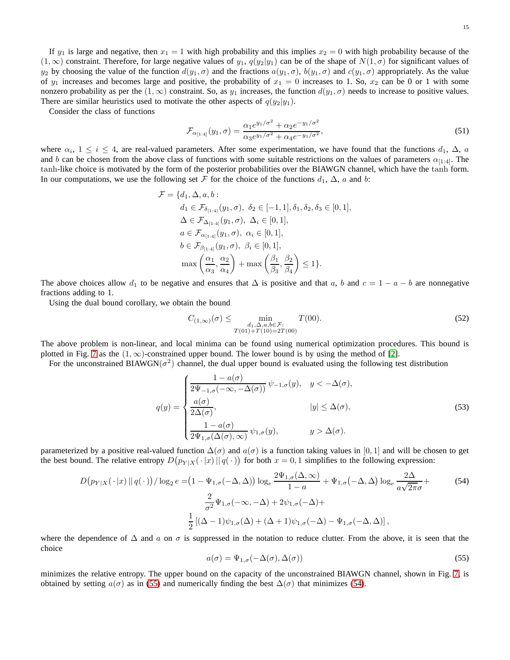If  $y_1$  is large and negative, then  $x_1 = 1$  with high probability and this implies  $x_2 = 0$  with high probability because of the  $(1,\infty)$  constraint. Therefore, for large negative values of  $y_1$ ,  $q(y_2|y_1)$  can be of the shape of  $N(1,\sigma)$  for significant values of  $y_2$  by choosing the value of the function  $d(y_1, \sigma)$  and the fractions  $a(y_1, \sigma)$ ,  $b(y_1, \sigma)$  and  $c(y_1, \sigma)$  appropriately. As the value of  $y_1$  increases and becomes large and positive, the probability of  $x_1 = 0$  increases to 1. So,  $x_2$  can be 0 or 1 with some nonzero probability as per the  $(1,\infty)$  constraint. So, as  $y_1$  increases, the function  $d(y_1,\sigma)$  needs to increase to positive values. There are similar heuristics used to motivate the other aspects of  $q(y_2|y_1)$ .

Consider the class of functions

$$
\mathcal{F}_{\alpha_{[1:4]}}(y_1,\sigma) = \frac{\alpha_1 e^{y_1/\sigma^2} + \alpha_2 e^{-y_1/\sigma^2}}{\alpha_3 e^{y_1/\sigma^2} + \alpha_4 e^{-y_1/\sigma^2}},\tag{51}
$$

where  $\alpha_i$ ,  $1 \le i \le 4$ , are real-valued parameters. After some experimentation, we have found that the functions  $d_1$ ,  $\Delta$ ,  $a$ and b can be chosen from the above class of functions with some suitable restrictions on the values of parameters  $\alpha_{[1:4]}$ . The tanh-like choice is motivated by the form of the posterior probabilities over the BIAWGN channel, which have the tanh form. In our computations, we use the following set F for the choice of the functions  $d_1$ ,  $\Delta$ , a and b:

$$
\mathcal{F} = \{d_1, \Delta, a, b : \n d_1 \in \mathcal{F}_{\delta_{[1:4]}}(y_1, \sigma), \ \delta_2 \in [-1, 1], \delta_1, \delta_2, \delta_3 \in [0, 1], \n \Delta \in \mathcal{F}_{\Delta_{[1:4]}}(y_1, \sigma), \ \Delta_i \in [0, 1], \n a \in \mathcal{F}_{\alpha_{[1:4]}}(y_1, \sigma), \ \alpha_i \in [0, 1], \n b \in \mathcal{F}_{\beta_{[1:4]}}(y_1, \sigma), \ \beta_i \in [0, 1], \n \max \left(\frac{\alpha_1}{\alpha_3}, \frac{\alpha_2}{\alpha_4}\right) + \max \left(\frac{\beta_1}{\beta_3}, \frac{\beta_2}{\beta_4}\right) \le 1 \}.
$$

The above choices allow  $d_1$  to be negative and ensures that  $\Delta$  is positive and that a, b and  $c = 1 - a - b$  are nonnegative fractions adding to 1.

Using the dual bound corollary, we obtain the bound

$$
C_{(1,\infty)}(\sigma) \le \min_{\substack{d_1,\Delta,a,b \in \mathcal{F}:\\T(01)+T(10)=2T(00)}} T(00). \tag{52}
$$

The above problem is non-linear, and local minima can be found using numerical optimization procedures. This bound is plotted in Fig. [7](#page-7-1) as the  $(1, \infty)$ -constrained upper bound. The lower bound is by using the method of [\[2\]](#page-15-1).

For the unconstrained BIAWGN( $\sigma^2$ ) channel, the dual upper bound is evaluated using the following test distribution

$$
q(y) = \begin{cases} \frac{1 - a(\sigma)}{2\Psi_{-1,\sigma}(-\infty, -\Delta(\sigma))} \psi_{-1,\sigma}(y), & y < -\Delta(\sigma), \\ \frac{a(\sigma)}{2\Delta(\sigma)}, & |y| \leq \Delta(\sigma), \\ \frac{1 - a(\sigma)}{2\Psi_{1,\sigma}(\Delta(\sigma), \infty)} \psi_{1,\sigma}(y), & y > \Delta(\sigma). \end{cases}
$$
(53)

parameterized by a positive real-valued function  $\Delta(\sigma)$  and  $a(\sigma)$  is a function taking values in [0, 1] and will be chosen to get the best bound. The relative entropy  $D(p_{Y|X}(\cdot|x) || q(\cdot))$  for both  $x = 0, 1$  simplifies to the following expression:

$$
D\left(p_{Y|X}(\cdot|x)\|\,q(\cdot)\right)/\log_{2}e = \left(1 - \Psi_{1,\sigma}(-\Delta,\Delta)\right)\log_{e}\frac{2\Psi_{1,\sigma}(\Delta,\infty)}{1-a} + \Psi_{1,\sigma}(-\Delta,\Delta)\log_{e}\frac{2\Delta}{a\sqrt{2\pi}\sigma} + \frac{2}{\sigma^{2}}\Psi_{1,\sigma}(-\infty,-\Delta) + 2\psi_{1,\sigma}(-\Delta) + \frac{1}{2}\left[(\Delta-1)\psi_{1,\sigma}(\Delta) + (\Delta+1)\psi_{1,\sigma}(-\Delta) - \Psi_{1,\sigma}(-\Delta,\Delta)\right],
$$
\n(54)

where the dependence of  $\Delta$  and a on  $\sigma$  is suppressed in the notation to reduce clutter. From the above, it is seen that the choice

<span id="page-14-1"></span><span id="page-14-0"></span>
$$
a(\sigma) = \Psi_{1,\sigma}(-\Delta(\sigma), \Delta(\sigma))
$$
\n(55)

minimizes the relative entropy. The upper bound on the capacity of the unconstrained BIAWGN channel, shown in Fig. [7,](#page-7-1) is obtained by setting  $a(\sigma)$  as in [\(55\)](#page-14-0) and numerically finding the best  $\Delta(\sigma)$  that minimizes [\(54\)](#page-14-1).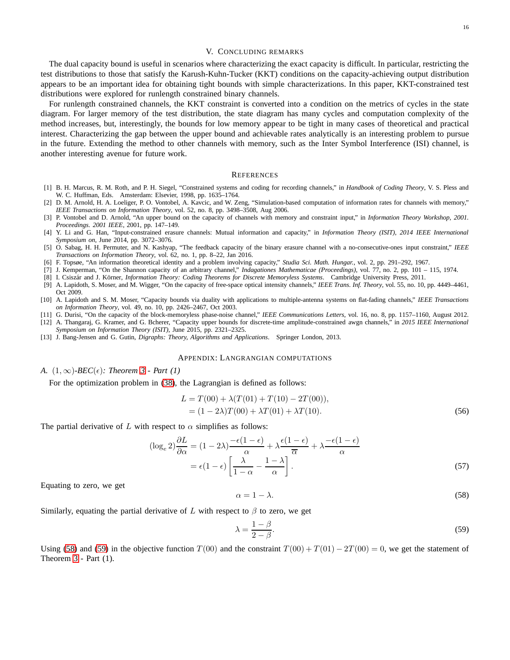#### V. CONCLUDING REMARKS

<span id="page-15-12"></span>The dual capacity bound is useful in scenarios where characterizing the exact capacity is difficult. In particular, restricting the test distributions to those that satisfy the Karush-Kuhn-Tucker (KKT) conditions on the capacity-achieving output distribution appears to be an important idea for obtaining tight bounds with simple characterizations. In this paper, KKT-constrained test distributions were explored for runlength constrained binary channels.

For runlength constrained channels, the KKT constraint is converted into a condition on the metrics of cycles in the state diagram. For larger memory of the test distribution, the state diagram has many cycles and computation complexity of the method increases, but, interestingly, the bounds for low memory appear to be tight in many cases of theoretical and practical interest. Characterizing the gap between the upper bound and achievable rates analytically is an interesting problem to pursue in the future. Extending the method to other channels with memory, such as the Inter Symbol Interference (ISI) channel, is another interesting avenue for future work.

#### **REFERENCES**

- <span id="page-15-0"></span>[1] B. H. Marcus, R. M. Roth, and P. H. Siegel, "Constrained systems and coding for recording channels," in *Handbook of Coding Theory*, V. S. Pless and W. C. Huffman, Eds. Amsterdam: Elsevier, 1998, pp. 1635–1764.
- <span id="page-15-1"></span>[2] D. M. Arnold, H. A. Loeliger, P. O. Vontobel, A. Kavcic, and W. Zeng, "Simulation-based computation of information rates for channels with memory," *IEEE Transactions on Information Theory*, vol. 52, no. 8, pp. 3498–3508, Aug 2006.
- <span id="page-15-2"></span>[3] P. Vontobel and D. Arnold, "An upper bound on the capacity of channels with memory and constraint input," in *Information Theory Workshop, 2001. Proceedings. 2001 IEEE*, 2001, pp. 147–149.
- <span id="page-15-3"></span>[4] Y. Li and G. Han, "Input-constrained erasure channels: Mutual information and capacity," in *Information Theory (ISIT), 2014 IEEE International Symposium on*, June 2014, pp. 3072–3076.
- <span id="page-15-4"></span>[5] O. Sabag, H. H. Permuter, and N. Kashyap, "The feedback capacity of the binary erasure channel with a no-consecutive-ones input constraint," *IEEE Transactions on Information Theory*, vol. 62, no. 1, pp. 8–22, Jan 2016.
- <span id="page-15-6"></span><span id="page-15-5"></span>[6] F. Topsøe, "An information theoretical identity and a problem involving capacity," *Studia Sci. Math. Hungar.*, vol. 2, pp. 291–292, 1967.
- <span id="page-15-7"></span>[7] J. Kemperman, "On the Shannon capacity of an arbitrary channel," *Indagationes Mathematicae (Proceedings)*, vol. 77, no. 2, pp. 101 – 115, 1974.
- <span id="page-15-8"></span>[8] I. Csiszár and J. Körner, *Information Theory: Coding Theorems for Discrete Memoryless Systems*. Cambridge University Press, 2011.
- [9] A. Lapidoth, S. Moser, and M. Wigger, "On the capacity of free-space optical intensity channels," *IEEE Trans. Inf. Theory*, vol. 55, no. 10, pp. 4449–4461, Oct 2009.
- <span id="page-15-9"></span>[10] A. Lapidoth and S. M. Moser, "Capacity bounds via duality with applications to multiple-antenna systems on flat-fading channels," *IEEE Transactions on Information Theory*, vol. 49, no. 10, pp. 2426–2467, Oct 2003.
- <span id="page-15-11"></span><span id="page-15-10"></span>[11] G. Durisi, "On the capacity of the block-memoryless phase-noise channel," *IEEE Communications Letters*, vol. 16, no. 8, pp. 1157–1160, August 2012.
- [12] A. Thangaraj, G. Kramer, and G. Bcherer, "Capacity upper bounds for discrete-time amplitude-constrained awgn channels," in *2015 IEEE International*
- <span id="page-15-13"></span>*Symposium on Information Theory (ISIT)*, June 2015, pp. 2321–2325.
- [13] J. Bang-Jensen and G. Gutin, *Digraphs: Theory, Algorithms and Applications*. Springer London, 2013.

#### APPENDIX: LANGRANGIAN COMPUTATIONS

*A.*  $(1, \infty)$ *-BEC*( $\epsilon$ )*: Theorem [3](#page-4-1) - Part (1)* 

For the optimization problem in [\(38\)](#page-10-2), the Lagrangian is defined as follows:

$$
L = T(00) + \lambda (T(01) + T(10) - 2T(00)),
$$
  
= (1 – 2\lambda)T(00) + \lambda T(01) + \lambda T(10). (56)

The partial derivative of L with respect to  $\alpha$  simplifies as follows:

$$
(\log_{\epsilon} 2) \frac{\partial L}{\partial \alpha} = (1 - 2\lambda) \frac{-\epsilon (1 - \epsilon)}{\alpha} + \lambda \frac{\epsilon (1 - \epsilon)}{\overline{\alpha}} + \lambda \frac{-\epsilon (1 - \epsilon)}{\alpha}
$$

$$
= \epsilon (1 - \epsilon) \left[ \frac{\lambda}{1 - \alpha} - \frac{1 - \lambda}{\alpha} \right].
$$
(57)

Equating to zero, we get

<span id="page-15-14"></span>
$$
\alpha = 1 - \lambda. \tag{58}
$$

Similarly, equating the partial derivative of L with respect to  $\beta$  to zero, we get

<span id="page-15-15"></span>
$$
\lambda = \frac{1 - \beta}{2 - \beta}.\tag{59}
$$

Using [\(58\)](#page-15-14) and [\(59\)](#page-15-15) in the objective function  $T(00)$  and the constraint  $T(00) + T(01) - 2T(00) = 0$ , we get the statement of Theorem [3](#page-4-1) - Part (1).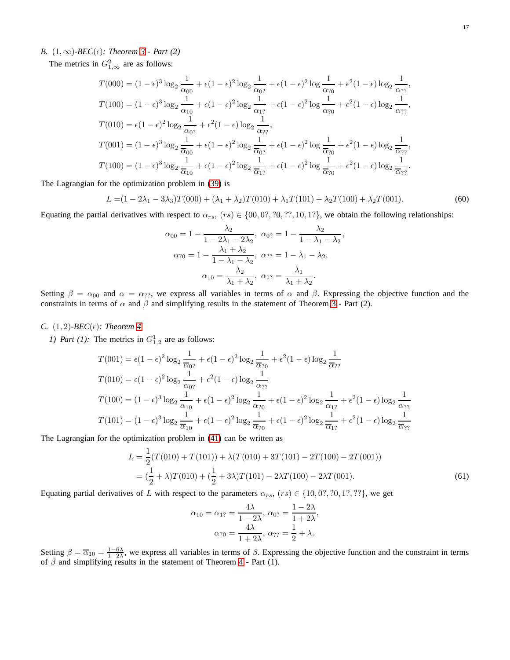# *B.*  $(1, \infty)$ *-BEC*( $\epsilon$ )*: Theorem [3](#page-4-1) - Part (2)*

The metrics in  $G_{1,\infty}^2$  are as follows:

$$
T(000) = (1 - \epsilon)^3 \log_2 \frac{1}{\alpha_{00}} + \epsilon (1 - \epsilon)^2 \log_2 \frac{1}{\alpha_{0?}} + \epsilon (1 - \epsilon)^2 \log \frac{1}{\alpha_{?0}} + \epsilon^2 (1 - \epsilon) \log_2 \frac{1}{\alpha_{??}},
$$
  
\n
$$
T(100) = (1 - \epsilon)^3 \log_2 \frac{1}{\alpha_{10}} + \epsilon (1 - \epsilon)^2 \log_2 \frac{1}{\alpha_{1?}} + \epsilon (1 - \epsilon)^2 \log \frac{1}{\alpha_{?0}} + \epsilon^2 (1 - \epsilon) \log_2 \frac{1}{\alpha_{??}},
$$
  
\n
$$
T(010) = \epsilon (1 - \epsilon)^2 \log_2 \frac{1}{\alpha_{0?}} + \epsilon^2 (1 - \epsilon) \log_2 \frac{1}{\alpha_{??}},
$$
  
\n
$$
T(001) = (1 - \epsilon)^3 \log_2 \frac{1}{\overline{\alpha_{00}}} + \epsilon (1 - \epsilon)^2 \log_2 \frac{1}{\overline{\alpha_{0?}}} + \epsilon (1 - \epsilon)^2 \log \frac{1}{\overline{\alpha_{?0}}} + \epsilon^2 (1 - \epsilon) \log_2 \frac{1}{\overline{\alpha_{??}}},
$$
  
\n
$$
T(100) = (1 - \epsilon)^3 \log_2 \frac{1}{\overline{\alpha_{10}}} + \epsilon (1 - \epsilon)^2 \log_2 \frac{1}{\overline{\alpha_{1?}}} + \epsilon (1 - \epsilon)^2 \log \frac{1}{\overline{\alpha_{?0}}} + \epsilon^2 (1 - \epsilon) \log_2 \frac{1}{\overline{\alpha_{??}}}.
$$

The Lagrangian for the optimization problem in [\(39\)](#page-11-3) is

$$
L = (1 - 2\lambda_1 - 3\lambda_3)T(000) + (\lambda_1 + \lambda_2)T(010) + \lambda_1 T(101) + \lambda_2 T(100) + \lambda_2 T(001).
$$
 (60)

Equating the partial derivatives with respect to  $\alpha_{rs}$ ,  $(rs) \in \{00, 0?$ , ?0, ??, 10, 1?}, we obtain the following relationships:

$$
\alpha_{00} = 1 - \frac{\lambda_2}{1 - 2\lambda_1 - 2\lambda_2}, \ \alpha_{0?} = 1 - \frac{\lambda_2}{1 - \lambda_1 - \lambda_2},
$$

$$
\alpha_{70} = 1 - \frac{\lambda_1 + \lambda_2}{1 - \lambda_1 - \lambda_2}, \ \alpha_{7?} = 1 - \lambda_1 - \lambda_2,
$$

$$
\alpha_{10} = \frac{\lambda_2}{\lambda_1 + \lambda_2}, \ \alpha_{1?} = \frac{\lambda_1}{\lambda_1 + \lambda_2}.
$$

Setting  $\beta = \alpha_{00}$  and  $\alpha = \alpha_{22}$ , we express all variables in terms of  $\alpha$  and  $\beta$ . Expressing the objective function and the constraints in terms of  $\alpha$  and  $\beta$  and simplifying results in the statement of Theorem [3](#page-4-1) - Part (2).

## *C.*  $(1, 2)$ *-BEC*( $\epsilon$ )*: Theorem [4](#page-5-2)*

*1) Part (1):* The metrics in  $G_{1,2}^1$  are as follows:

$$
T(001) = \epsilon (1 - \epsilon)^2 \log_2 \frac{1}{\overline{\alpha}_{0?}} + \epsilon (1 - \epsilon)^2 \log_2 \frac{1}{\overline{\alpha}_{70}} + \epsilon^2 (1 - \epsilon) \log_2 \frac{1}{\overline{\alpha}_{77}}
$$
  
\n
$$
T(010) = \epsilon (1 - \epsilon)^2 \log_2 \frac{1}{\alpha_{0?}} + \epsilon^2 (1 - \epsilon) \log_2 \frac{1}{\alpha_{77}}
$$
  
\n
$$
T(100) = (1 - \epsilon)^3 \log_2 \frac{1}{\alpha_{10}} + \epsilon (1 - \epsilon)^2 \log_2 \frac{1}{\alpha_{70}} + \epsilon (1 - \epsilon)^2 \log_2 \frac{1}{\alpha_{1?}} + \epsilon^2 (1 - \epsilon) \log_2 \frac{1}{\alpha_{77}}
$$
  
\n
$$
T(101) = (1 - \epsilon)^3 \log_2 \frac{1}{\overline{\alpha}_{10}} + \epsilon (1 - \epsilon)^2 \log_2 \frac{1}{\overline{\alpha}_{70}} + \epsilon (1 - \epsilon)^2 \log_2 \frac{1}{\overline{\alpha}_{1?}} + \epsilon^2 (1 - \epsilon) \log_2 \frac{1}{\overline{\alpha}_{77}}
$$

The Lagrangian for the optimization problem in [\(41\)](#page-12-1) can be written as

$$
L = \frac{1}{2}(T(010) + T(101)) + \lambda(T(010) + 3T(101) - 2T(100) - 2T(001))
$$
  
=  $(\frac{1}{2} + \lambda)T(010) + (\frac{1}{2} + 3\lambda)T(101) - 2\lambda T(100) - 2\lambda T(001).$  (61)

Equating partial derivatives of L with respect to the parameters  $\alpha_{rs}$ ,  $(rs) \in \{10, 0?, ?0, 1?, ??\}$ , we get

$$
\alpha_{10} = \alpha_{1?} = \frac{4\lambda}{1 - 2\lambda}, \ \alpha_{0?} = \frac{1 - 2\lambda}{1 + 2\lambda},
$$

$$
\alpha_{?0} = \frac{4\lambda}{1 + 2\lambda}, \ \alpha_{??} = \frac{1}{2} + \lambda.
$$

Setting  $\beta = \overline{\alpha}_{10} = \frac{1-6\lambda}{1-2\lambda}$ , we express all variables in terms of  $\beta$ . Expressing the objective function and the constraint in terms of  $\beta$  and simplifying results in the statement of Theorem [4](#page-5-2) - Part (1).